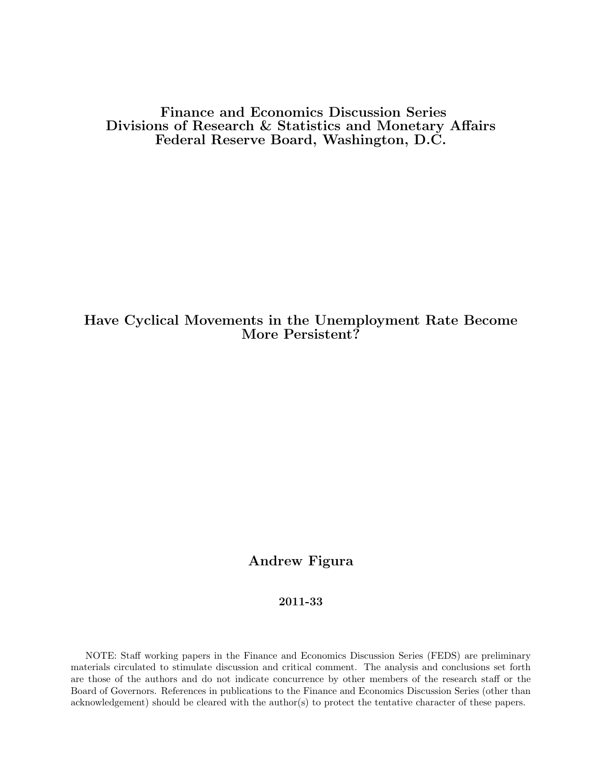Finance and Economics Discussion Series Divisions of Research & Statistics and Monetary Affairs Federal Reserve Board, Washington, D.C.

# Have Cyclical Movements in the Unemployment Rate Become More Persistent?

# Andrew Figura

### 2011-33

NOTE: Staff working papers in the Finance and Economics Discussion Series (FEDS) are preliminary materials circulated to stimulate discussion and critical comment. The analysis and conclusions set forth are those of the authors and do not indicate concurrence by other members of the research staff or the Board of Governors. References in publications to the Finance and Economics Discussion Series (other than acknowledgement) should be cleared with the author(s) to protect the tentative character of these papers.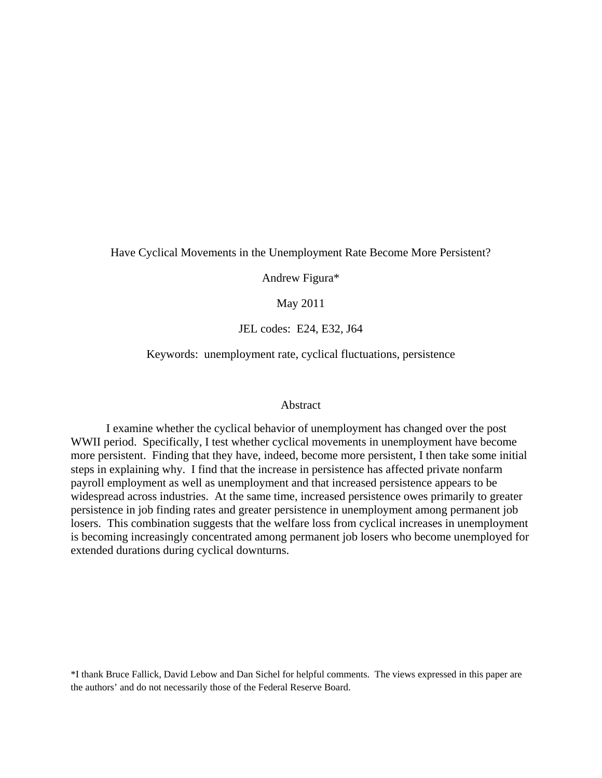#### Have Cyclical Movements in the Unemployment Rate Become More Persistent?

Andrew Figura\*

May 2011

JEL codes: E24, E32, J64

Keywords: unemployment rate, cyclical fluctuations, persistence

#### Abstract

I examine whether the cyclical behavior of unemployment has changed over the post WWII period. Specifically, I test whether cyclical movements in unemployment have become more persistent. Finding that they have, indeed, become more persistent, I then take some initial steps in explaining why. I find that the increase in persistence has affected private nonfarm payroll employment as well as unemployment and that increased persistence appears to be widespread across industries. At the same time, increased persistence owes primarily to greater persistence in job finding rates and greater persistence in unemployment among permanent job losers. This combination suggests that the welfare loss from cyclical increases in unemployment is becoming increasingly concentrated among permanent job losers who become unemployed for extended durations during cyclical downturns.

\*I thank Bruce Fallick, David Lebow and Dan Sichel for helpful comments. The views expressed in this paper are the authors' and do not necessarily those of the Federal Reserve Board.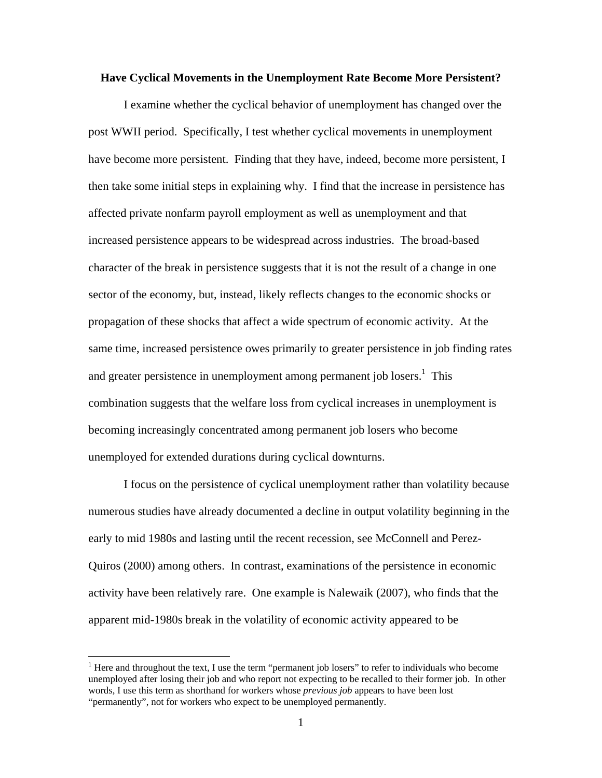#### **Have Cyclical Movements in the Unemployment Rate Become More Persistent?**

I examine whether the cyclical behavior of unemployment has changed over the post WWII period. Specifically, I test whether cyclical movements in unemployment have become more persistent. Finding that they have, indeed, become more persistent, I then take some initial steps in explaining why. I find that the increase in persistence has affected private nonfarm payroll employment as well as unemployment and that increased persistence appears to be widespread across industries. The broad-based character of the break in persistence suggests that it is not the result of a change in one sector of the economy, but, instead, likely reflects changes to the economic shocks or propagation of these shocks that affect a wide spectrum of economic activity. At the same time, increased persistence owes primarily to greater persistence in job finding rates and greater persistence in unemployment among permanent job losers.<sup>1</sup> This combination suggests that the welfare loss from cyclical increases in unemployment is becoming increasingly concentrated among permanent job losers who become unemployed for extended durations during cyclical downturns.

I focus on the persistence of cyclical unemployment rather than volatility because numerous studies have already documented a decline in output volatility beginning in the early to mid 1980s and lasting until the recent recession, see McConnell and Perez-Quiros (2000) among others. In contrast, examinations of the persistence in economic activity have been relatively rare. One example is Nalewaik (2007), who finds that the apparent mid-1980s break in the volatility of economic activity appeared to be

<sup>&</sup>lt;sup>1</sup> Here and throughout the text, I use the term "permanent job losers" to refer to individuals who become unemployed after losing their job and who report not expecting to be recalled to their former job. In other words, I use this term as shorthand for workers whose *previous job* appears to have been lost "permanently", not for workers who expect to be unemployed permanently.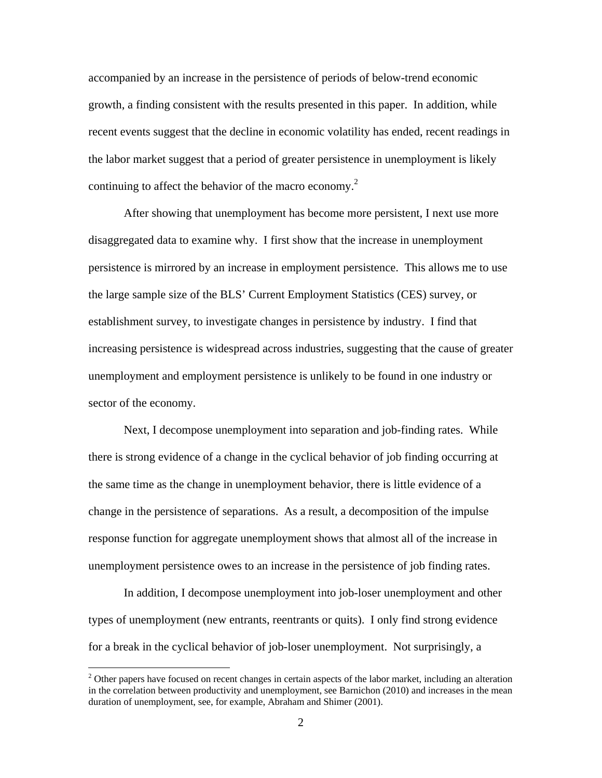accompanied by an increase in the persistence of periods of below-trend economic growth, a finding consistent with the results presented in this paper. In addition, while recent events suggest that the decline in economic volatility has ended, recent readings in the labor market suggest that a period of greater persistence in unemployment is likely continuing to affect the behavior of the macro economy. $^{2}$ 

After showing that unemployment has become more persistent, I next use more disaggregated data to examine why. I first show that the increase in unemployment persistence is mirrored by an increase in employment persistence. This allows me to use the large sample size of the BLS' Current Employment Statistics (CES) survey, or establishment survey, to investigate changes in persistence by industry. I find that increasing persistence is widespread across industries, suggesting that the cause of greater unemployment and employment persistence is unlikely to be found in one industry or sector of the economy.

Next, I decompose unemployment into separation and job-finding rates. While there is strong evidence of a change in the cyclical behavior of job finding occurring at the same time as the change in unemployment behavior, there is little evidence of a change in the persistence of separations. As a result, a decomposition of the impulse response function for aggregate unemployment shows that almost all of the increase in unemployment persistence owes to an increase in the persistence of job finding rates.

In addition, I decompose unemployment into job-loser unemployment and other types of unemployment (new entrants, reentrants or quits). I only find strong evidence for a break in the cyclical behavior of job-loser unemployment. Not surprisingly, a

 $2^2$  Other papers have focused on recent changes in certain aspects of the labor market, including an alteration in the correlation between productivity and unemployment, see Barnichon (2010) and increases in the mean duration of unemployment, see, for example, Abraham and Shimer (2001).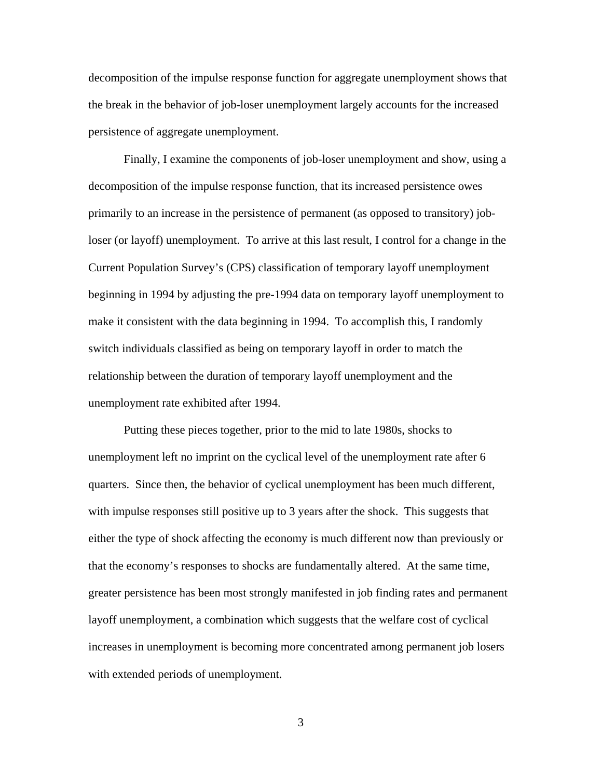decomposition of the impulse response function for aggregate unemployment shows that the break in the behavior of job-loser unemployment largely accounts for the increased persistence of aggregate unemployment.

Finally, I examine the components of job-loser unemployment and show, using a decomposition of the impulse response function, that its increased persistence owes primarily to an increase in the persistence of permanent (as opposed to transitory) jobloser (or layoff) unemployment. To arrive at this last result, I control for a change in the Current Population Survey's (CPS) classification of temporary layoff unemployment beginning in 1994 by adjusting the pre-1994 data on temporary layoff unemployment to make it consistent with the data beginning in 1994. To accomplish this, I randomly switch individuals classified as being on temporary layoff in order to match the relationship between the duration of temporary layoff unemployment and the unemployment rate exhibited after 1994.

Putting these pieces together, prior to the mid to late 1980s, shocks to unemployment left no imprint on the cyclical level of the unemployment rate after 6 quarters. Since then, the behavior of cyclical unemployment has been much different, with impulse responses still positive up to 3 years after the shock. This suggests that either the type of shock affecting the economy is much different now than previously or that the economy's responses to shocks are fundamentally altered. At the same time, greater persistence has been most strongly manifested in job finding rates and permanent layoff unemployment, a combination which suggests that the welfare cost of cyclical increases in unemployment is becoming more concentrated among permanent job losers with extended periods of unemployment.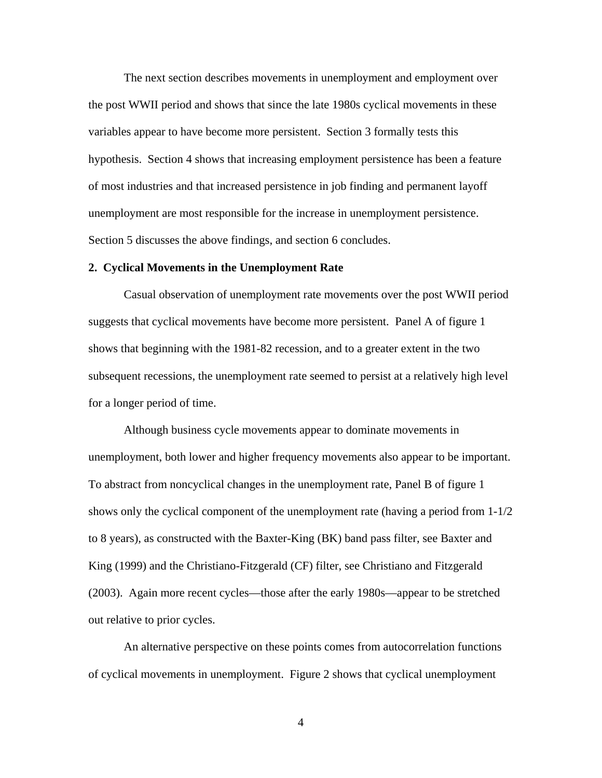The next section describes movements in unemployment and employment over the post WWII period and shows that since the late 1980s cyclical movements in these variables appear to have become more persistent. Section 3 formally tests this hypothesis. Section 4 shows that increasing employment persistence has been a feature of most industries and that increased persistence in job finding and permanent layoff unemployment are most responsible for the increase in unemployment persistence. Section 5 discusses the above findings, and section 6 concludes.

#### **2. Cyclical Movements in the Unemployment Rate**

Casual observation of unemployment rate movements over the post WWII period suggests that cyclical movements have become more persistent. Panel A of figure 1 shows that beginning with the 1981-82 recession, and to a greater extent in the two subsequent recessions, the unemployment rate seemed to persist at a relatively high level for a longer period of time.

Although business cycle movements appear to dominate movements in unemployment, both lower and higher frequency movements also appear to be important. To abstract from noncyclical changes in the unemployment rate, Panel B of figure 1 shows only the cyclical component of the unemployment rate (having a period from 1-1/2 to 8 years), as constructed with the Baxter-King (BK) band pass filter, see Baxter and King (1999) and the Christiano-Fitzgerald (CF) filter, see Christiano and Fitzgerald (2003). Again more recent cycles—those after the early 1980s—appear to be stretched out relative to prior cycles.

An alternative perspective on these points comes from autocorrelation functions of cyclical movements in unemployment. Figure 2 shows that cyclical unemployment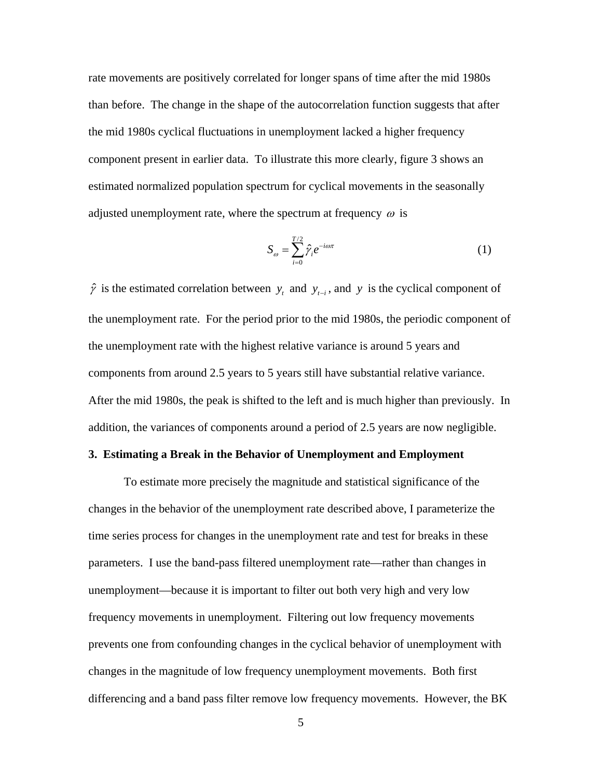rate movements are positively correlated for longer spans of time after the mid 1980s than before. The change in the shape of the autocorrelation function suggests that after the mid 1980s cyclical fluctuations in unemployment lacked a higher frequency component present in earlier data. To illustrate this more clearly, figure 3 shows an estimated normalized population spectrum for cyclical movements in the seasonally adjusted unemployment rate, where the spectrum at frequency  $\omega$  is

$$
S_{\omega} = \sum_{i=0}^{T/2} \hat{\gamma}_i e^{-i\omega \pi} \tag{1}
$$

 $\hat{\gamma}$  is the estimated correlation between  $y_t$  and  $y_{t-i}$ , and y is the cyclical component of the unemployment rate. For the period prior to the mid 1980s, the periodic component of the unemployment rate with the highest relative variance is around 5 years and components from around 2.5 years to 5 years still have substantial relative variance. After the mid 1980s, the peak is shifted to the left and is much higher than previously. In addition, the variances of components around a period of 2.5 years are now negligible.

#### **3. Estimating a Break in the Behavior of Unemployment and Employment**

To estimate more precisely the magnitude and statistical significance of the changes in the behavior of the unemployment rate described above, I parameterize the time series process for changes in the unemployment rate and test for breaks in these parameters. I use the band-pass filtered unemployment rate—rather than changes in unemployment—because it is important to filter out both very high and very low frequency movements in unemployment. Filtering out low frequency movements prevents one from confounding changes in the cyclical behavior of unemployment with changes in the magnitude of low frequency unemployment movements. Both first differencing and a band pass filter remove low frequency movements. However, the BK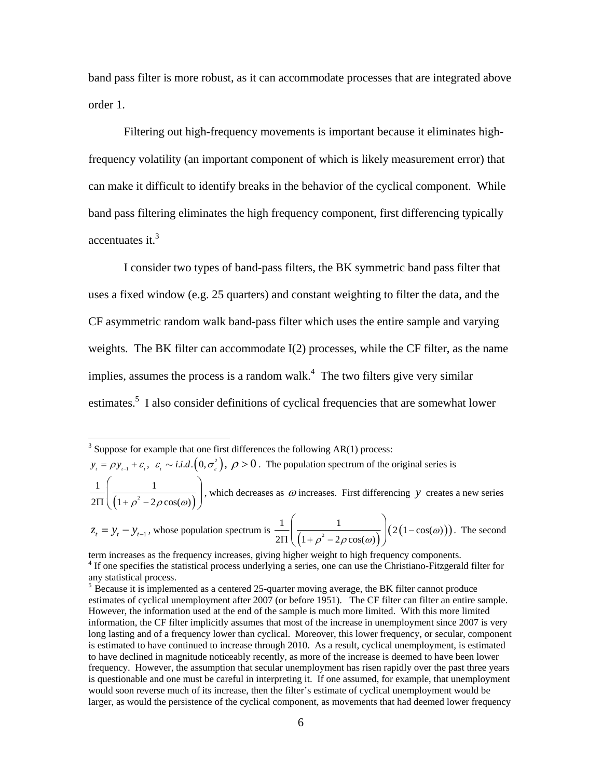band pass filter is more robust, as it can accommodate processes that are integrated above order 1.

Filtering out high-frequency movements is important because it eliminates highfrequency volatility (an important component of which is likely measurement error) that can make it difficult to identify breaks in the behavior of the cyclical component. While band pass filtering eliminates the high frequency component, first differencing typically accentuates it.<sup>3</sup>

I consider two types of band-pass filters, the BK symmetric band pass filter that uses a fixed window (e.g. 25 quarters) and constant weighting to filter the data, and the CF asymmetric random walk band-pass filter which uses the entire sample and varying weights. The BK filter can accommodate I(2) processes, while the CF filter, as the name implies, assumes the process is a random walk. $4$  The two filters give very similar estimates.<sup>5</sup> I also consider definitions of cyclical frequencies that are somewhat lower

 $y_{i} = \rho y_{i-1} + \varepsilon_i$ ,  $\varepsilon_i \sim i.i.d. (0, \sigma_i^2)$ ,  $\rho > 0$ . The population spectrum of the original series is

 $(1+\rho^2-2\rho\cos(\omega))$  $1 \mid 1 \mid$  $rac{1}{2\Pi}\left(\frac{1}{\left(1+\rho^2-2\rho\cos(\omega)\right)}\right)$ , which decreases as  $\omega$  increases. First differencing  $y$  creates a new series

 $z_t = y_t - y_{t-1}$ , whose population spectrum is  $\frac{1}{2\Pi} \left( \frac{1}{\left(1 + \rho^2 - 2\rho \cos(\omega)\right)} \right) \left( 2\left(1 - \cos(\omega)\right) \right)$  $\frac{1}{2\Pi}\left(\frac{1}{\left(1+\rho^2-2\rho\cos(\omega)\right)}\right)(2(1-\cos(\omega$ . The second

<sup>&</sup>lt;sup>3</sup> Suppose for example that one first differences the following AR(1) process:

term increases as the frequency increases, giving higher weight to high frequency components. <sup>4</sup> If one specifies the statistical process underlying a series, one can use the Christiano-Fitzgerald filter for any statistical process.

 $<sup>5</sup>$  Because it is implemented as a centered 25-quarter moving average, the BK filter cannot produce</sup> estimates of cyclical unemployment after 2007 (or before 1951). The CF filter can filter an entire sample. However, the information used at the end of the sample is much more limited. With this more limited information, the CF filter implicitly assumes that most of the increase in unemployment since 2007 is very long lasting and of a frequency lower than cyclical. Moreover, this lower frequency, or secular, component is estimated to have continued to increase through 2010. As a result, cyclical unemployment, is estimated to have declined in magnitude noticeably recently, as more of the increase is deemed to have been lower frequency. However, the assumption that secular unemployment has risen rapidly over the past three years is questionable and one must be careful in interpreting it. If one assumed, for example, that unemployment would soon reverse much of its increase, then the filter's estimate of cyclical unemployment would be larger, as would the persistence of the cyclical component, as movements that had deemed lower frequency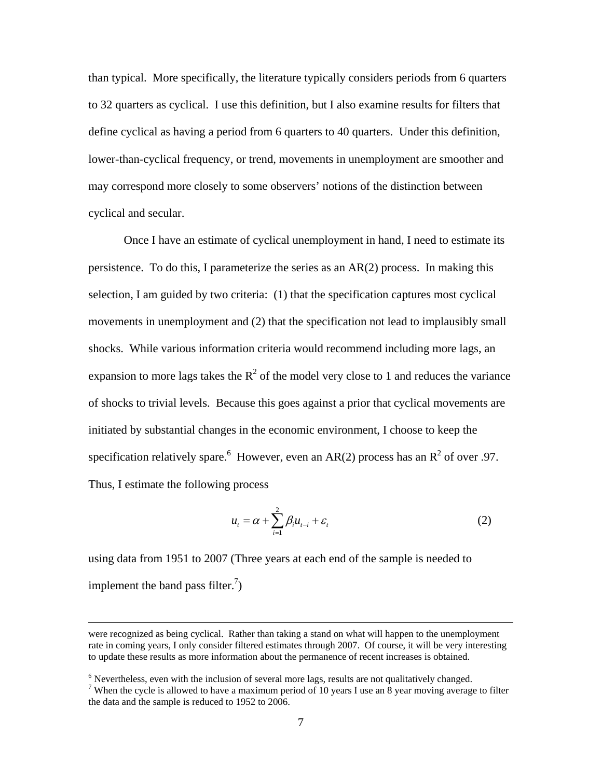than typical. More specifically, the literature typically considers periods from 6 quarters to 32 quarters as cyclical. I use this definition, but I also examine results for filters that define cyclical as having a period from 6 quarters to 40 quarters. Under this definition, lower-than-cyclical frequency, or trend, movements in unemployment are smoother and may correspond more closely to some observers' notions of the distinction between cyclical and secular.

Once I have an estimate of cyclical unemployment in hand, I need to estimate its persistence. To do this, I parameterize the series as an AR(2) process. In making this selection, I am guided by two criteria: (1) that the specification captures most cyclical movements in unemployment and (2) that the specification not lead to implausibly small shocks. While various information criteria would recommend including more lags, an expansion to more lags takes the  $R^2$  of the model very close to 1 and reduces the variance of shocks to trivial levels. Because this goes against a prior that cyclical movements are initiated by substantial changes in the economic environment, I choose to keep the specification relatively spare. <sup>6</sup> However, even an AR(2) process has an  $R^2$  of over .97. Thus, I estimate the following process

$$
u_t = \alpha + \sum_{i=1}^{2} \beta_i u_{t-i} + \varepsilon_t
$$
 (2)

using data from 1951 to 2007 (Three years at each end of the sample is needed to implement the band pass filter.<sup>7</sup>)

were recognized as being cyclical. Rather than taking a stand on what will happen to the unemployment rate in coming years, I only consider filtered estimates through 2007. Of course, it will be very interesting to update these results as more information about the permanence of recent increases is obtained.

<sup>&</sup>lt;sup>6</sup> Nevertheless, even with the inclusion of several more lags, results are not qualitatively changed.  $\frac{7 \text{ W}}{2}$ 

<sup>&</sup>lt;sup>7</sup> When the cycle is allowed to have a maximum period of 10 years I use an 8 year moving average to filter the data and the sample is reduced to 1952 to 2006.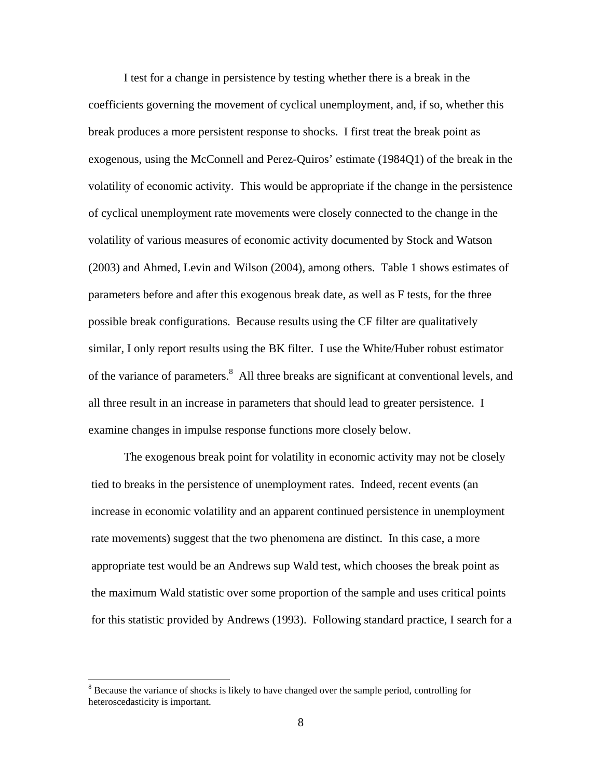I test for a change in persistence by testing whether there is a break in the coefficients governing the movement of cyclical unemployment, and, if so, whether this break produces a more persistent response to shocks. I first treat the break point as exogenous, using the McConnell and Perez-Quiros' estimate (1984Q1) of the break in the volatility of economic activity. This would be appropriate if the change in the persistence of cyclical unemployment rate movements were closely connected to the change in the volatility of various measures of economic activity documented by Stock and Watson (2003) and Ahmed, Levin and Wilson (2004), among others. Table 1 shows estimates of parameters before and after this exogenous break date, as well as F tests, for the three possible break configurations. Because results using the CF filter are qualitatively similar, I only report results using the BK filter. I use the White/Huber robust estimator of the variance of parameters.<sup>8</sup> All three breaks are significant at conventional levels, and all three result in an increase in parameters that should lead to greater persistence. I examine changes in impulse response functions more closely below.

The exogenous break point for volatility in economic activity may not be closely tied to breaks in the persistence of unemployment rates. Indeed, recent events (an increase in economic volatility and an apparent continued persistence in unemployment rate movements) suggest that the two phenomena are distinct. In this case, a more appropriate test would be an Andrews sup Wald test, which chooses the break point as the maximum Wald statistic over some proportion of the sample and uses critical points for this statistic provided by Andrews (1993). Following standard practice, I search for a

<sup>&</sup>lt;sup>8</sup> Because the variance of shocks is likely to have changed over the sample period, controlling for heteroscedasticity is important.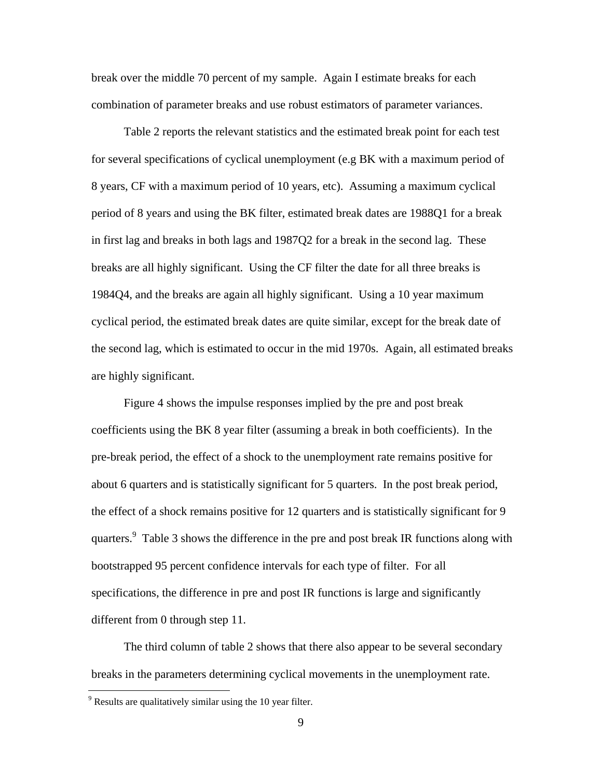break over the middle 70 percent of my sample. Again I estimate breaks for each combination of parameter breaks and use robust estimators of parameter variances.

Table 2 reports the relevant statistics and the estimated break point for each test for several specifications of cyclical unemployment (e.g BK with a maximum period of 8 years, CF with a maximum period of 10 years, etc). Assuming a maximum cyclical period of 8 years and using the BK filter, estimated break dates are 1988Q1 for a break in first lag and breaks in both lags and 1987Q2 for a break in the second lag. These breaks are all highly significant. Using the CF filter the date for all three breaks is 1984Q4, and the breaks are again all highly significant. Using a 10 year maximum cyclical period, the estimated break dates are quite similar, except for the break date of the second lag, which is estimated to occur in the mid 1970s. Again, all estimated breaks are highly significant.

Figure 4 shows the impulse responses implied by the pre and post break coefficients using the BK 8 year filter (assuming a break in both coefficients). In the pre-break period, the effect of a shock to the unemployment rate remains positive for about 6 quarters and is statistically significant for 5 quarters. In the post break period, the effect of a shock remains positive for 12 quarters and is statistically significant for 9 quarters.<sup>9</sup> Table 3 shows the difference in the pre and post break IR functions along with bootstrapped 95 percent confidence intervals for each type of filter. For all specifications, the difference in pre and post IR functions is large and significantly different from 0 through step 11.

The third column of table 2 shows that there also appear to be several secondary breaks in the parameters determining cyclical movements in the unemployment rate.

 $9^9$  Results are qualitatively similar using the 10 year filter.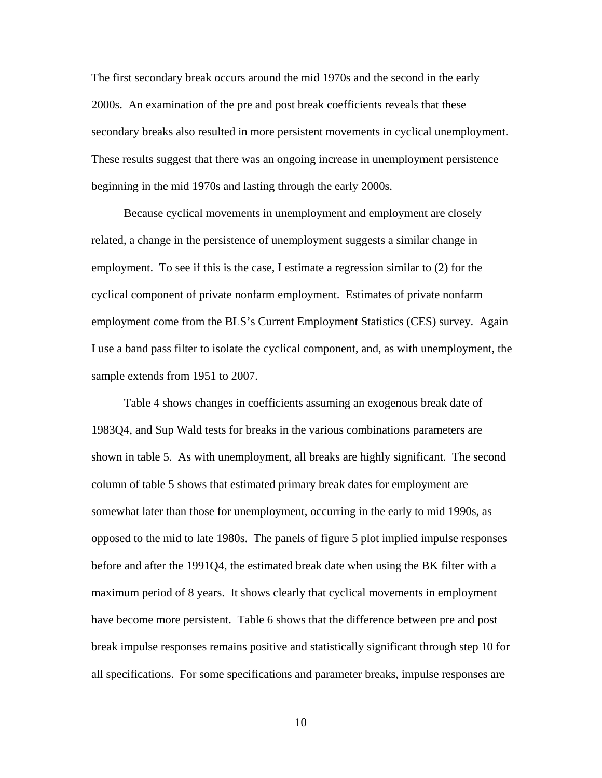The first secondary break occurs around the mid 1970s and the second in the early 2000s. An examination of the pre and post break coefficients reveals that these secondary breaks also resulted in more persistent movements in cyclical unemployment. These results suggest that there was an ongoing increase in unemployment persistence beginning in the mid 1970s and lasting through the early 2000s.

Because cyclical movements in unemployment and employment are closely related, a change in the persistence of unemployment suggests a similar change in employment. To see if this is the case, I estimate a regression similar to (2) for the cyclical component of private nonfarm employment. Estimates of private nonfarm employment come from the BLS's Current Employment Statistics (CES) survey. Again I use a band pass filter to isolate the cyclical component, and, as with unemployment, the sample extends from 1951 to 2007.

Table 4 shows changes in coefficients assuming an exogenous break date of 1983Q4, and Sup Wald tests for breaks in the various combinations parameters are shown in table 5. As with unemployment, all breaks are highly significant. The second column of table 5 shows that estimated primary break dates for employment are somewhat later than those for unemployment, occurring in the early to mid 1990s, as opposed to the mid to late 1980s. The panels of figure 5 plot implied impulse responses before and after the 1991Q4, the estimated break date when using the BK filter with a maximum period of 8 years. It shows clearly that cyclical movements in employment have become more persistent. Table 6 shows that the difference between pre and post break impulse responses remains positive and statistically significant through step 10 for all specifications. For some specifications and parameter breaks, impulse responses are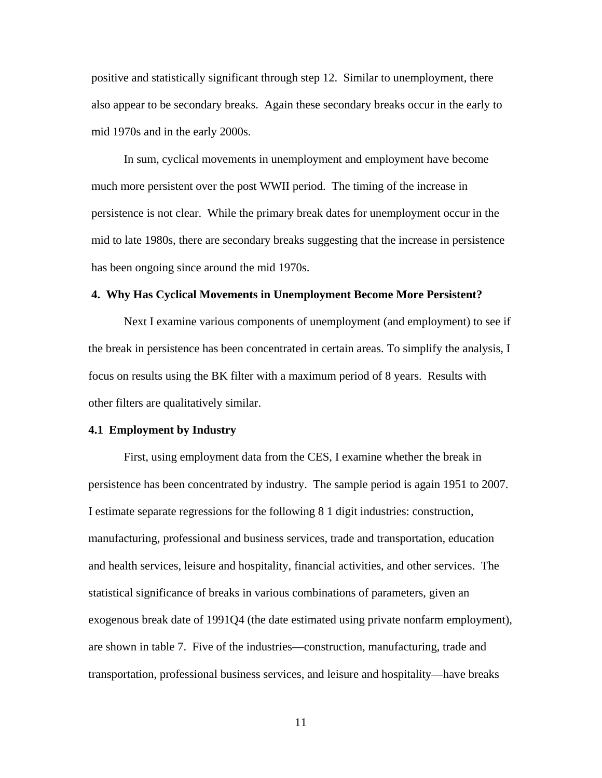positive and statistically significant through step 12. Similar to unemployment, there also appear to be secondary breaks. Again these secondary breaks occur in the early to mid 1970s and in the early 2000s.

In sum, cyclical movements in unemployment and employment have become much more persistent over the post WWII period. The timing of the increase in persistence is not clear. While the primary break dates for unemployment occur in the mid to late 1980s, there are secondary breaks suggesting that the increase in persistence has been ongoing since around the mid 1970s.

#### **4. Why Has Cyclical Movements in Unemployment Become More Persistent?**

Next I examine various components of unemployment (and employment) to see if the break in persistence has been concentrated in certain areas. To simplify the analysis, I focus on results using the BK filter with a maximum period of 8 years. Results with other filters are qualitatively similar.

#### **4.1 Employment by Industry**

 First, using employment data from the CES, I examine whether the break in persistence has been concentrated by industry. The sample period is again 1951 to 2007. I estimate separate regressions for the following 8 1 digit industries: construction, manufacturing, professional and business services, trade and transportation, education and health services, leisure and hospitality, financial activities, and other services. The statistical significance of breaks in various combinations of parameters, given an exogenous break date of 1991Q4 (the date estimated using private nonfarm employment), are shown in table 7. Five of the industries—construction, manufacturing, trade and transportation, professional business services, and leisure and hospitality—have breaks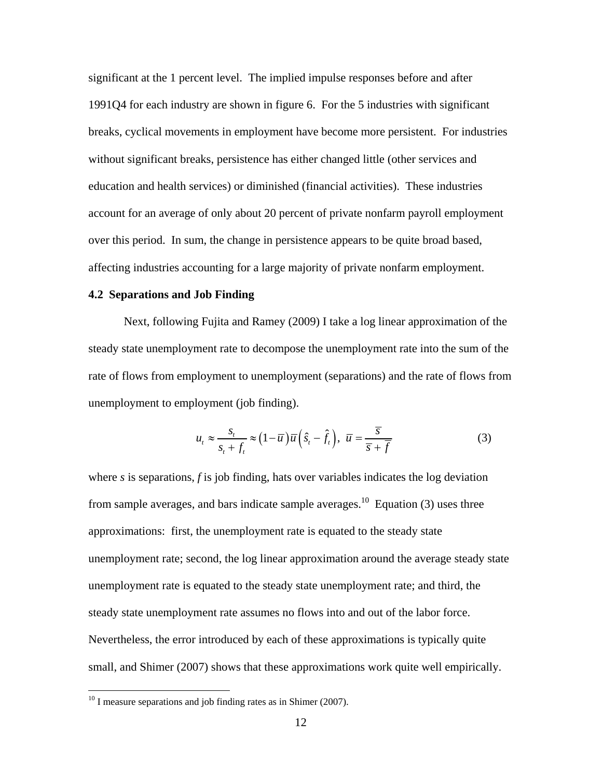significant at the 1 percent level. The implied impulse responses before and after 1991Q4 for each industry are shown in figure 6. For the 5 industries with significant breaks, cyclical movements in employment have become more persistent. For industries without significant breaks, persistence has either changed little (other services and education and health services) or diminished (financial activities). These industries account for an average of only about 20 percent of private nonfarm payroll employment over this period. In sum, the change in persistence appears to be quite broad based, affecting industries accounting for a large majority of private nonfarm employment.

### **4.2 Separations and Job Finding**

Next, following Fujita and Ramey (2009) I take a log linear approximation of the steady state unemployment rate to decompose the unemployment rate into the sum of the rate of flows from employment to unemployment (separations) and the rate of flows from unemployment to employment (job finding).

$$
u_t \approx \frac{s_t}{s_t + f_t} \approx (1 - \overline{u}) \overline{u} \left( \hat{s}_t - \hat{f}_t \right), \ \overline{u} = \frac{\overline{s}}{\overline{s} + \overline{f}}
$$
(3)

where *s* is separations, *f* is job finding, hats over variables indicates the log deviation from sample averages, and bars indicate sample averages.<sup>10</sup> Equation (3) uses three approximations: first, the unemployment rate is equated to the steady state unemployment rate; second, the log linear approximation around the average steady state unemployment rate is equated to the steady state unemployment rate; and third, the steady state unemployment rate assumes no flows into and out of the labor force. Nevertheless, the error introduced by each of these approximations is typically quite small, and Shimer (2007) shows that these approximations work quite well empirically.

 $10$  I measure separations and job finding rates as in Shimer (2007).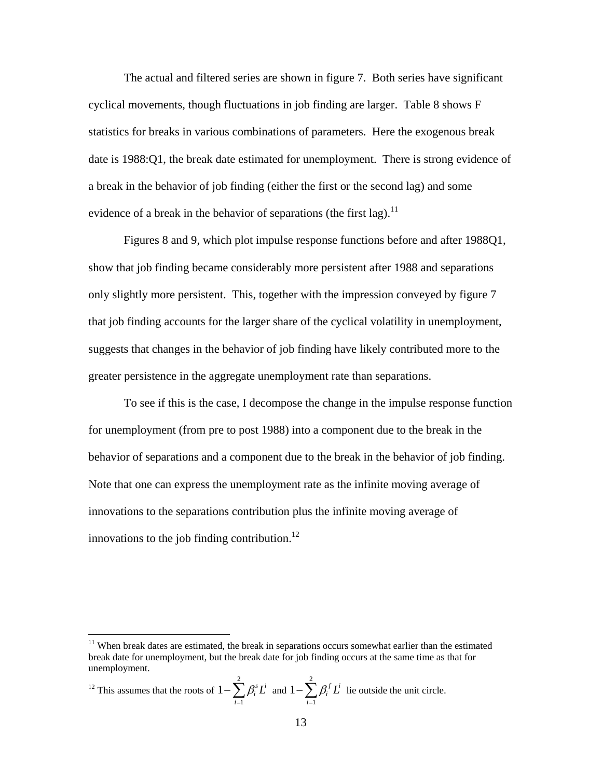The actual and filtered series are shown in figure 7. Both series have significant cyclical movements, though fluctuations in job finding are larger. Table 8 shows F statistics for breaks in various combinations of parameters. Here the exogenous break date is 1988:Q1, the break date estimated for unemployment. There is strong evidence of a break in the behavior of job finding (either the first or the second lag) and some evidence of a break in the behavior of separations (the first lag).<sup>11</sup>

Figures 8 and 9, which plot impulse response functions before and after 1988Q1, show that job finding became considerably more persistent after 1988 and separations only slightly more persistent. This, together with the impression conveyed by figure 7 that job finding accounts for the larger share of the cyclical volatility in unemployment, suggests that changes in the behavior of job finding have likely contributed more to the greater persistence in the aggregate unemployment rate than separations.

To see if this is the case, I decompose the change in the impulse response function for unemployment (from pre to post 1988) into a component due to the break in the behavior of separations and a component due to the break in the behavior of job finding. Note that one can express the unemployment rate as the infinite moving average of innovations to the separations contribution plus the infinite moving average of innovations to the job finding contribution.<sup>12</sup>

<sup>12</sup> This assumes that the roots of 
$$
1 - \sum_{i=1}^{2} \beta_i^s L^i
$$
 and  $1 - \sum_{i=1}^{2} \beta_i^f L^i$  lie outside the unit circle.

 $11$  When break dates are estimated, the break in separations occurs somewhat earlier than the estimated break date for unemployment, but the break date for job finding occurs at the same time as that for unemployment.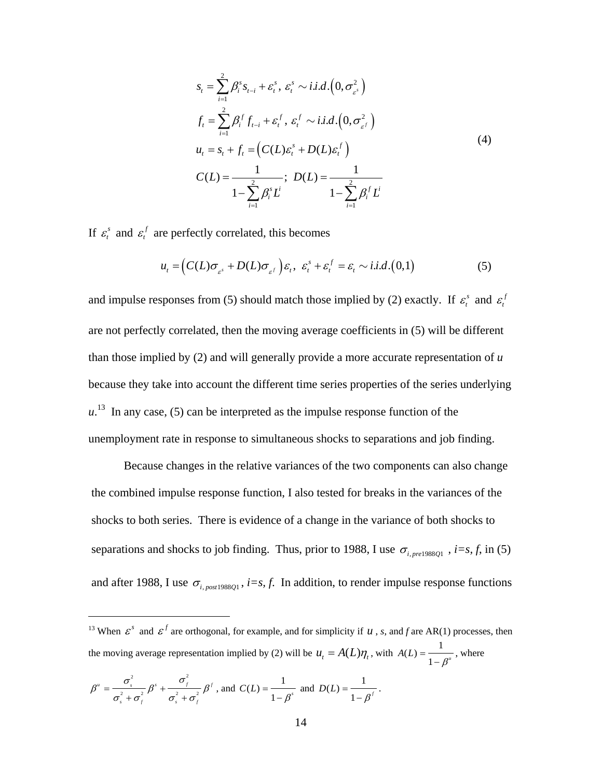$$
s_{t} = \sum_{i=1}^{2} \beta_{i}^{s} s_{t-i} + \varepsilon_{t}^{s}, \ \varepsilon_{t}^{s} \sim i.i.d.\left(0, \sigma_{\varepsilon^{s}}^{2}\right)
$$
\n
$$
f_{t} = \sum_{i=1}^{2} \beta_{i}^{f} f_{t-i} + \varepsilon_{t}^{f}, \ \varepsilon_{t}^{f} \sim i.i.d.\left(0, \sigma_{\varepsilon^{f}}^{2}\right)
$$
\n
$$
u_{t} = s_{t} + f_{t} = \left(C(L)\varepsilon_{t}^{s} + D(L)\varepsilon_{t}^{f}\right)
$$
\n
$$
C(L) = \frac{1}{1 - \sum_{i=1}^{2} \beta_{i}^{s} L^{i}}; \ \ D(L) = \frac{1}{1 - \sum_{i=1}^{2} \beta_{i}^{f} L^{i}}
$$
\n
$$
(4)
$$

If  $\varepsilon_t^s$  and  $\varepsilon_t^f$  are perfectly correlated, this becomes

$$
u_t = \left( C(L)\sigma_{\varepsilon^s} + D(L)\sigma_{\varepsilon^f} \right) \varepsilon_t, \ \varepsilon_t^s + \varepsilon_t^f = \varepsilon_t \sim i.i.d. (0,1)
$$
 (5)

and impulse responses from (5) should match those implied by (2) exactly. If  $\varepsilon_t^s$  and  $\varepsilon_t^f$ are not perfectly correlated, then the moving average coefficients in (5) will be different than those implied by (2) and will generally provide a more accurate representation of *u* because they take into account the different time series properties of the series underlying  $u<sup>13</sup>$  In any case, (5) can be interpreted as the impulse response function of the unemployment rate in response to simultaneous shocks to separations and job finding.

 Because changes in the relative variances of the two components can also change the combined impulse response function, I also tested for breaks in the variances of the shocks to both series. There is evidence of a change in the variance of both shocks to separations and shocks to job finding. Thus, prior to 1988, I use  $\sigma_{i, pre198801}$ , *i*=s, *f*, in (5) and after 1988, I use  $\sigma_{i,post1988Q1}$ , *i*=s, *f*. In addition, to render impulse response functions

$$
\beta'' = \frac{\sigma_s^2}{\sigma_s^2 + \sigma_f^2} \beta' + \frac{\sigma_f^2}{\sigma_s^2 + \sigma_f^2} \beta' \text{, and } C(L) = \frac{1}{1 - \beta'} \text{ and } D(L) = \frac{1}{1 - \beta'}.
$$

<sup>&</sup>lt;sup>13</sup> When  $\epsilon^s$  and  $\epsilon^f$  are orthogonal, for example, and for simplicity if *u*, *s*, and *f* are AR(1) processes, then the moving average representation implied by (2) will be  $u_t = A(L)\eta_t$ , with  $A(L) = \frac{1}{1 - \beta^*}$ , where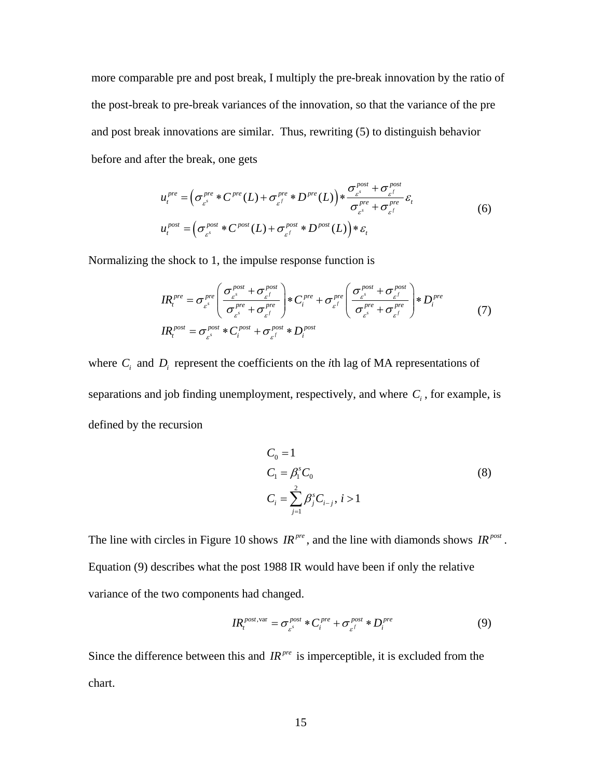more comparable pre and post break, I multiply the pre-break innovation by the ratio of the post-break to pre-break variances of the innovation, so that the variance of the pre and post break innovations are similar. Thus, rewriting (5) to distinguish behavior before and after the break, one gets

$$
u_t^{pre} = \left(\sigma_{\varepsilon^s}^{pre} * C^{pre}(L) + \sigma_{\varepsilon^f}^{pre} * D^{pre}(L)\right) * \frac{\sigma_{\varepsilon^s}^{post} + \sigma_{\varepsilon^f}^{post}}{\sigma_{\varepsilon^s}^{pre} + \sigma_{\varepsilon^f}^{pre}} \varepsilon_t
$$
  

$$
u_t^{post} = \left(\sigma_{\varepsilon^s}^{post} * C^{post}(L) + \sigma_{\varepsilon^f}^{post} * D^{post}(L)\right) * \varepsilon_t
$$
 (6)

Normalizing the shock to 1, the impulse response function is

$$
IR_t^{pre} = \sigma_{\varepsilon^s}^{pre} \left( \frac{\sigma_{\varepsilon^s}^{post} + \sigma_{\varepsilon^f}^{post}}{\sigma_{\varepsilon^s}^{pre} + \sigma_{\varepsilon^f}^{pre}} \right) * C_i^{pre} + \sigma_{\varepsilon^f}^{pre} \left( \frac{\sigma_{\varepsilon^s}^{post} + \sigma_{\varepsilon^f}^{post}}{\sigma_{\varepsilon^s}^{pre} + \sigma_{\varepsilon^f}^{pre}} \right) * D_i^{pre}
$$
  
\n
$$
IR_t^{post} = \sigma_{\varepsilon^s}^{post} * C_i^{post} + \sigma_{\varepsilon^f}^{post} * D_i^{post}
$$
 (7)

where  $C_i$  and  $D_i$  represent the coefficients on the *i*th lag of MA representations of separations and job finding unemployment, respectively, and where  $C_i$ , for example, is defined by the recursion

$$
C_0 = 1
$$
  
\n
$$
C_1 = \beta_1^s C_0
$$
  
\n
$$
C_i = \sum_{j=1}^2 \beta_j^s C_{i-j}, i > 1
$$
\n(8)

The line with circles in Figure 10 shows  $IR^{pre}$ , and the line with diamonds shows  $IR^{post}$ . Equation (9) describes what the post 1988 IR would have been if only the relative variance of the two components had changed.

$$
IR_t^{\text{post, var}} = \sigma_{\varepsilon^s}^{\text{post}} * C_i^{\text{pre}} + \sigma_{\varepsilon^f}^{\text{post}} * D_i^{\text{pre}} \tag{9}
$$

Since the difference between this and  $IR^{pre}$  is imperceptible, it is excluded from the chart.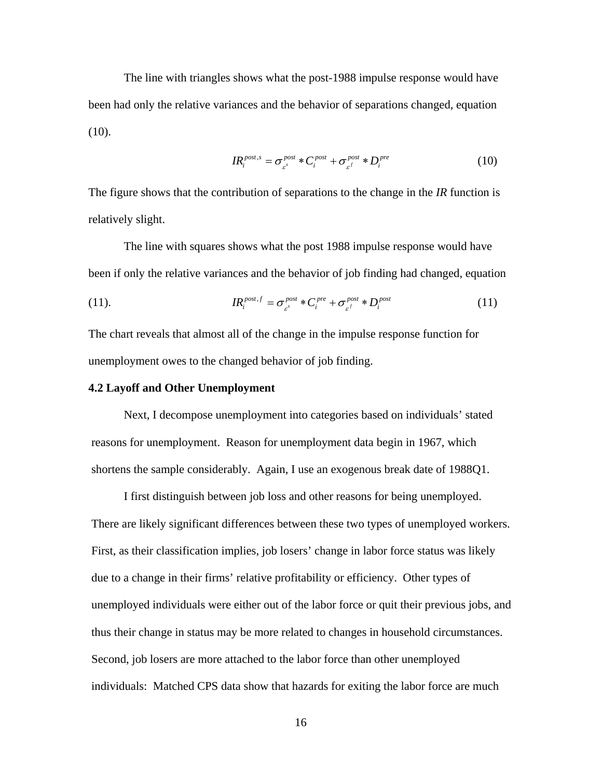The line with triangles shows what the post-1988 impulse response would have been had only the relative variances and the behavior of separations changed, equation  $(10).$ 

$$
IR_i^{post,s} = \sigma_{\varepsilon^s}^{post} * C_i^{post} + \sigma_{\varepsilon^f}^{post} * D_i^{pre}
$$
 (10)

The figure shows that the contribution of separations to the change in the *IR* function is relatively slight.

The line with squares shows what the post 1988 impulse response would have been if only the relative variances and the behavior of job finding had changed, equation

(11). 
$$
I\!R_i^{post.f} = \sigma_{\varepsilon^s}^{post} * C_i^{pre} + \sigma_{\varepsilon^f}^{post} * D_i^{post}
$$
 (11)

The chart reveals that almost all of the change in the impulse response function for unemployment owes to the changed behavior of job finding.

#### **4.2 Layoff and Other Unemployment**

Next, I decompose unemployment into categories based on individuals' stated reasons for unemployment. Reason for unemployment data begin in 1967, which shortens the sample considerably. Again, I use an exogenous break date of 1988Q1.

I first distinguish between job loss and other reasons for being unemployed. There are likely significant differences between these two types of unemployed workers. First, as their classification implies, job losers' change in labor force status was likely due to a change in their firms' relative profitability or efficiency. Other types of unemployed individuals were either out of the labor force or quit their previous jobs, and thus their change in status may be more related to changes in household circumstances. Second, job losers are more attached to the labor force than other unemployed individuals: Matched CPS data show that hazards for exiting the labor force are much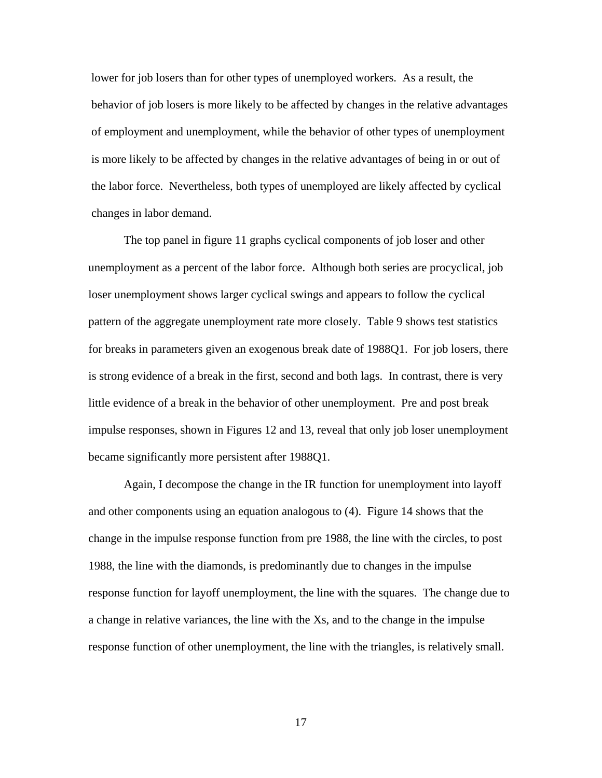lower for job losers than for other types of unemployed workers. As a result, the behavior of job losers is more likely to be affected by changes in the relative advantages of employment and unemployment, while the behavior of other types of unemployment is more likely to be affected by changes in the relative advantages of being in or out of the labor force. Nevertheless, both types of unemployed are likely affected by cyclical changes in labor demand.

The top panel in figure 11 graphs cyclical components of job loser and other unemployment as a percent of the labor force. Although both series are procyclical, job loser unemployment shows larger cyclical swings and appears to follow the cyclical pattern of the aggregate unemployment rate more closely. Table 9 shows test statistics for breaks in parameters given an exogenous break date of 1988Q1. For job losers, there is strong evidence of a break in the first, second and both lags. In contrast, there is very little evidence of a break in the behavior of other unemployment. Pre and post break impulse responses, shown in Figures 12 and 13, reveal that only job loser unemployment became significantly more persistent after 1988Q1.

Again, I decompose the change in the IR function for unemployment into layoff and other components using an equation analogous to (4). Figure 14 shows that the change in the impulse response function from pre 1988, the line with the circles, to post 1988, the line with the diamonds, is predominantly due to changes in the impulse response function for layoff unemployment, the line with the squares. The change due to a change in relative variances, the line with the Xs, and to the change in the impulse response function of other unemployment, the line with the triangles, is relatively small.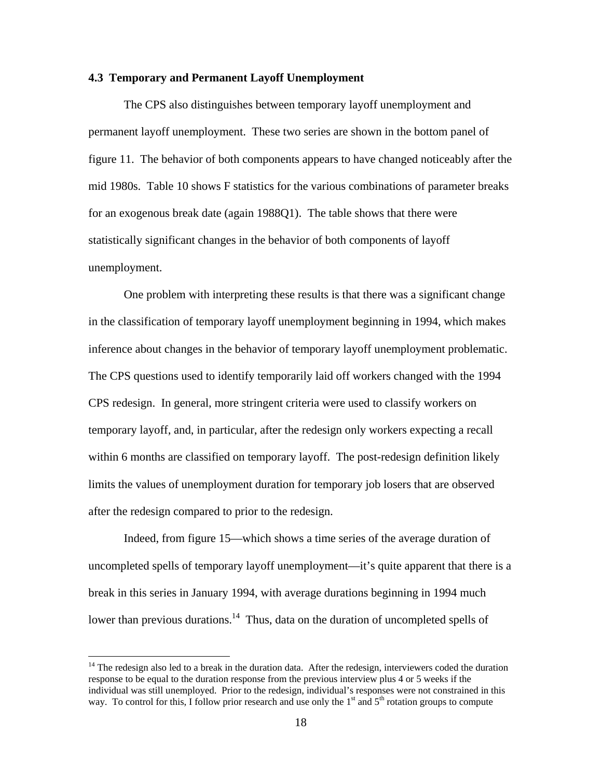#### **4.3 Temporary and Permanent Layoff Unemployment**

The CPS also distinguishes between temporary layoff unemployment and permanent layoff unemployment. These two series are shown in the bottom panel of figure 11. The behavior of both components appears to have changed noticeably after the mid 1980s. Table 10 shows F statistics for the various combinations of parameter breaks for an exogenous break date (again 1988Q1). The table shows that there were statistically significant changes in the behavior of both components of layoff unemployment.

One problem with interpreting these results is that there was a significant change in the classification of temporary layoff unemployment beginning in 1994, which makes inference about changes in the behavior of temporary layoff unemployment problematic. The CPS questions used to identify temporarily laid off workers changed with the 1994 CPS redesign. In general, more stringent criteria were used to classify workers on temporary layoff, and, in particular, after the redesign only workers expecting a recall within 6 months are classified on temporary layoff. The post-redesign definition likely limits the values of unemployment duration for temporary job losers that are observed after the redesign compared to prior to the redesign.

Indeed, from figure 15—which shows a time series of the average duration of uncompleted spells of temporary layoff unemployment—it's quite apparent that there is a break in this series in January 1994, with average durations beginning in 1994 much lower than previous durations.<sup>14</sup> Thus, data on the duration of uncompleted spells of

<sup>&</sup>lt;sup>14</sup> The redesign also led to a break in the duration data. After the redesign, interviewers coded the duration response to be equal to the duration response from the previous interview plus 4 or 5 weeks if the individual was still unemployed. Prior to the redesign, individual's responses were not constrained in this way. To control for this, I follow prior research and use only the 1<sup>st</sup> and 5<sup>th</sup> rotation groups to compute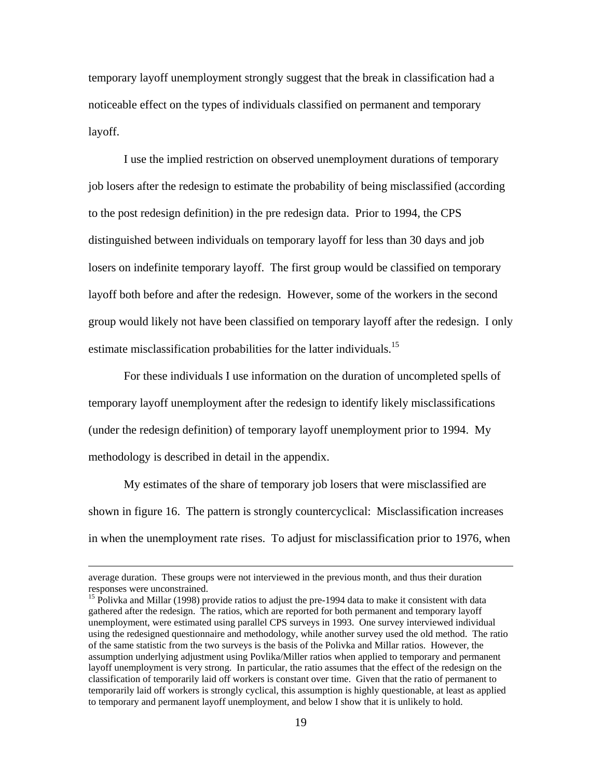temporary layoff unemployment strongly suggest that the break in classification had a noticeable effect on the types of individuals classified on permanent and temporary layoff.

I use the implied restriction on observed unemployment durations of temporary job losers after the redesign to estimate the probability of being misclassified (according to the post redesign definition) in the pre redesign data. Prior to 1994, the CPS distinguished between individuals on temporary layoff for less than 30 days and job losers on indefinite temporary layoff. The first group would be classified on temporary layoff both before and after the redesign. However, some of the workers in the second group would likely not have been classified on temporary layoff after the redesign. I only estimate misclassification probabilities for the latter individuals.<sup>15</sup>

For these individuals I use information on the duration of uncompleted spells of temporary layoff unemployment after the redesign to identify likely misclassifications (under the redesign definition) of temporary layoff unemployment prior to 1994. My methodology is described in detail in the appendix.

My estimates of the share of temporary job losers that were misclassified are shown in figure 16. The pattern is strongly countercyclical: Misclassification increases in when the unemployment rate rises. To adjust for misclassification prior to 1976, when

average duration. These groups were not interviewed in the previous month, and thus their duration responses were unconstrained.

<sup>&</sup>lt;sup>15</sup> Polivka and Millar (1998) provide ratios to adjust the pre-1994 data to make it consistent with data gathered after the redesign. The ratios, which are reported for both permanent and temporary layoff unemployment, were estimated using parallel CPS surveys in 1993. One survey interviewed individual using the redesigned questionnaire and methodology, while another survey used the old method. The ratio of the same statistic from the two surveys is the basis of the Polivka and Millar ratios. However, the assumption underlying adjustment using Povlika/Miller ratios when applied to temporary and permanent layoff unemployment is very strong. In particular, the ratio assumes that the effect of the redesign on the classification of temporarily laid off workers is constant over time. Given that the ratio of permanent to temporarily laid off workers is strongly cyclical, this assumption is highly questionable, at least as applied to temporary and permanent layoff unemployment, and below I show that it is unlikely to hold.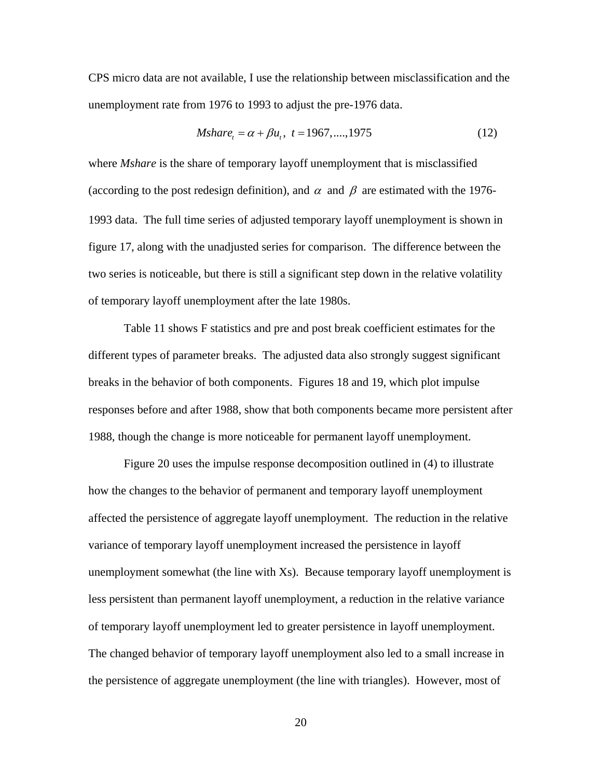CPS micro data are not available, I use the relationship between misclassification and the unemployment rate from 1976 to 1993 to adjust the pre-1976 data.

$$
Mshare_t = \alpha + \beta u_t, \ t = 1967, \dots, 1975 \tag{12}
$$

where *Mshare* is the share of temporary layoff unemployment that is misclassified (according to the post redesign definition), and  $\alpha$  and  $\beta$  are estimated with the 1976-1993 data. The full time series of adjusted temporary layoff unemployment is shown in figure 17, along with the unadjusted series for comparison. The difference between the two series is noticeable, but there is still a significant step down in the relative volatility of temporary layoff unemployment after the late 1980s.

 Table 11 shows F statistics and pre and post break coefficient estimates for the different types of parameter breaks. The adjusted data also strongly suggest significant breaks in the behavior of both components. Figures 18 and 19, which plot impulse responses before and after 1988, show that both components became more persistent after 1988, though the change is more noticeable for permanent layoff unemployment.

Figure 20 uses the impulse response decomposition outlined in (4) to illustrate how the changes to the behavior of permanent and temporary layoff unemployment affected the persistence of aggregate layoff unemployment. The reduction in the relative variance of temporary layoff unemployment increased the persistence in layoff unemployment somewhat (the line with Xs). Because temporary layoff unemployment is less persistent than permanent layoff unemployment, a reduction in the relative variance of temporary layoff unemployment led to greater persistence in layoff unemployment. The changed behavior of temporary layoff unemployment also led to a small increase in the persistence of aggregate unemployment (the line with triangles). However, most of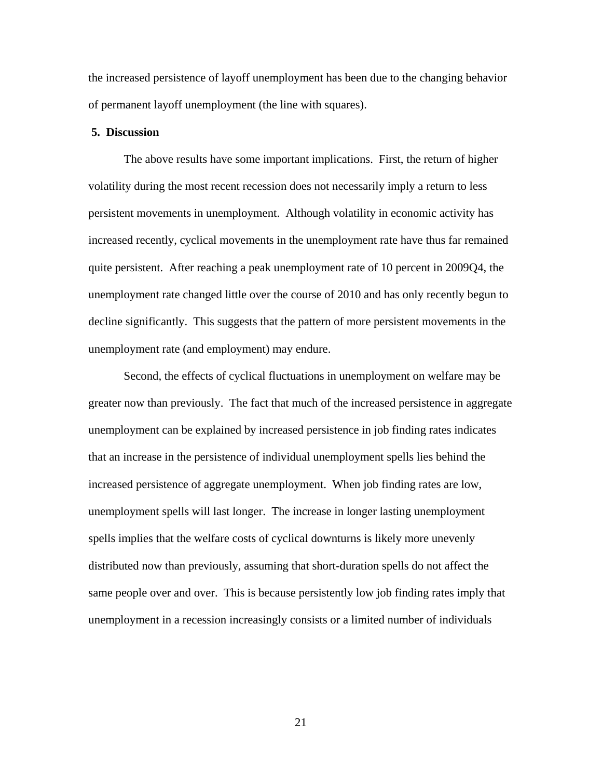the increased persistence of layoff unemployment has been due to the changing behavior of permanent layoff unemployment (the line with squares).

#### **5. Discussion**

The above results have some important implications. First, the return of higher volatility during the most recent recession does not necessarily imply a return to less persistent movements in unemployment. Although volatility in economic activity has increased recently, cyclical movements in the unemployment rate have thus far remained quite persistent. After reaching a peak unemployment rate of 10 percent in 2009Q4, the unemployment rate changed little over the course of 2010 and has only recently begun to decline significantly. This suggests that the pattern of more persistent movements in the unemployment rate (and employment) may endure.

Second, the effects of cyclical fluctuations in unemployment on welfare may be greater now than previously. The fact that much of the increased persistence in aggregate unemployment can be explained by increased persistence in job finding rates indicates that an increase in the persistence of individual unemployment spells lies behind the increased persistence of aggregate unemployment. When job finding rates are low, unemployment spells will last longer. The increase in longer lasting unemployment spells implies that the welfare costs of cyclical downturns is likely more unevenly distributed now than previously, assuming that short-duration spells do not affect the same people over and over. This is because persistently low job finding rates imply that unemployment in a recession increasingly consists or a limited number of individuals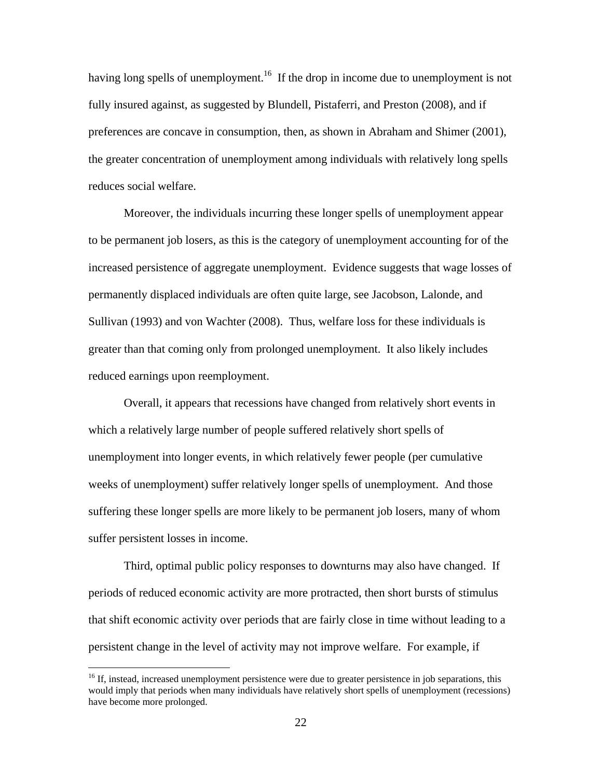having long spells of unemployment.<sup>16</sup> If the drop in income due to unemployment is not fully insured against, as suggested by Blundell, Pistaferri, and Preston (2008), and if preferences are concave in consumption, then, as shown in Abraham and Shimer (2001), the greater concentration of unemployment among individuals with relatively long spells reduces social welfare.

Moreover, the individuals incurring these longer spells of unemployment appear to be permanent job losers, as this is the category of unemployment accounting for of the increased persistence of aggregate unemployment. Evidence suggests that wage losses of permanently displaced individuals are often quite large, see Jacobson, Lalonde, and Sullivan (1993) and von Wachter (2008). Thus, welfare loss for these individuals is greater than that coming only from prolonged unemployment. It also likely includes reduced earnings upon reemployment.

Overall, it appears that recessions have changed from relatively short events in which a relatively large number of people suffered relatively short spells of unemployment into longer events, in which relatively fewer people (per cumulative weeks of unemployment) suffer relatively longer spells of unemployment. And those suffering these longer spells are more likely to be permanent job losers, many of whom suffer persistent losses in income.

Third, optimal public policy responses to downturns may also have changed. If periods of reduced economic activity are more protracted, then short bursts of stimulus that shift economic activity over periods that are fairly close in time without leading to a persistent change in the level of activity may not improve welfare. For example, if

<sup>&</sup>lt;sup>16</sup> If, instead, increased unemployment persistence were due to greater persistence in job separations, this would imply that periods when many individuals have relatively short spells of unemployment (recessions) have become more prolonged.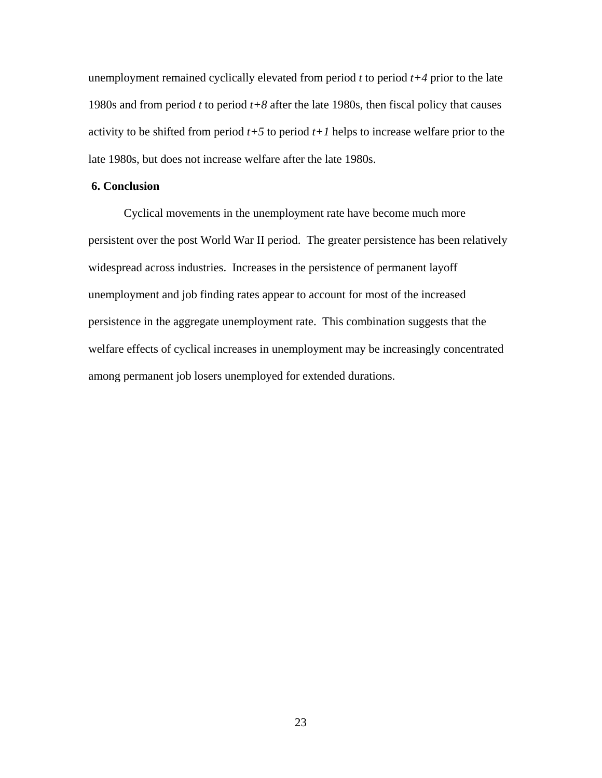unemployment remained cyclically elevated from period *t* to period *t+4* prior to the late 1980s and from period *t* to period *t+8* after the late 1980s, then fiscal policy that causes activity to be shifted from period  $t+5$  to period  $t+1$  helps to increase welfare prior to the late 1980s, but does not increase welfare after the late 1980s.

### **6. Conclusion**

Cyclical movements in the unemployment rate have become much more persistent over the post World War II period. The greater persistence has been relatively widespread across industries. Increases in the persistence of permanent layoff unemployment and job finding rates appear to account for most of the increased persistence in the aggregate unemployment rate. This combination suggests that the welfare effects of cyclical increases in unemployment may be increasingly concentrated among permanent job losers unemployed for extended durations.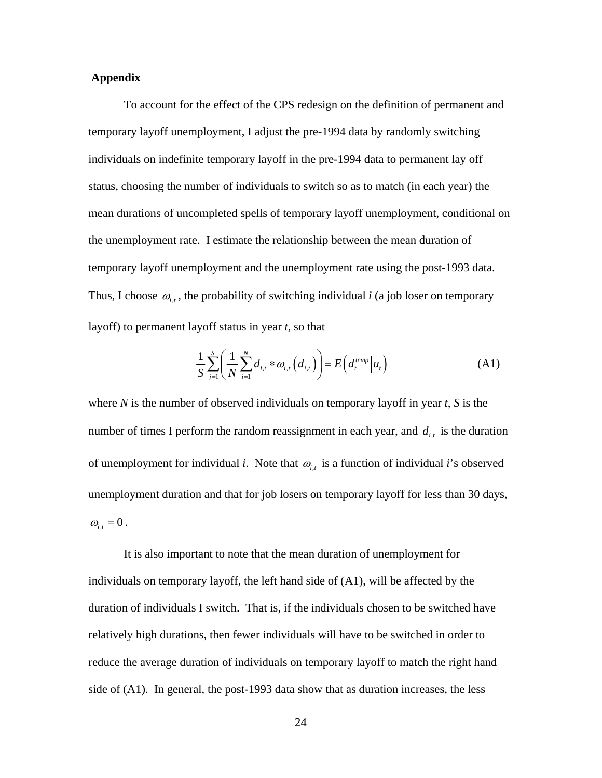### **Appendix**

To account for the effect of the CPS redesign on the definition of permanent and temporary layoff unemployment, I adjust the pre-1994 data by randomly switching individuals on indefinite temporary layoff in the pre-1994 data to permanent lay off status, choosing the number of individuals to switch so as to match (in each year) the mean durations of uncompleted spells of temporary layoff unemployment, conditional on the unemployment rate. I estimate the relationship between the mean duration of temporary layoff unemployment and the unemployment rate using the post-1993 data. Thus, I choose  $\omega_{i,t}$ , the probability of switching individual *i* (a job loser on temporary layoff) to permanent layoff status in year *t*, so that

$$
\frac{1}{S} \sum_{j=1}^{S} \left( \frac{1}{N} \sum_{i=1}^{N} d_{i,t} * \omega_{i,t} \left( d_{i,t} \right) \right) = E \left( d_{t}^{temp} \middle| u_{t} \right) \tag{A1}
$$

where *N* is the number of observed individuals on temporary layoff in year *t*, *S* is the number of times I perform the random reassignment in each year, and  $d_{i,t}$  is the duration of unemployment for individual *i*. Note that  $\omega_{i,t}$  is a function of individual *i*'s observed unemployment duration and that for job losers on temporary layoff for less than 30 days,  $\omega_{i}$ <sub>t</sub> = 0.

It is also important to note that the mean duration of unemployment for individuals on temporary layoff, the left hand side of (A1), will be affected by the duration of individuals I switch. That is, if the individuals chosen to be switched have relatively high durations, then fewer individuals will have to be switched in order to reduce the average duration of individuals on temporary layoff to match the right hand side of (A1). In general, the post-1993 data show that as duration increases, the less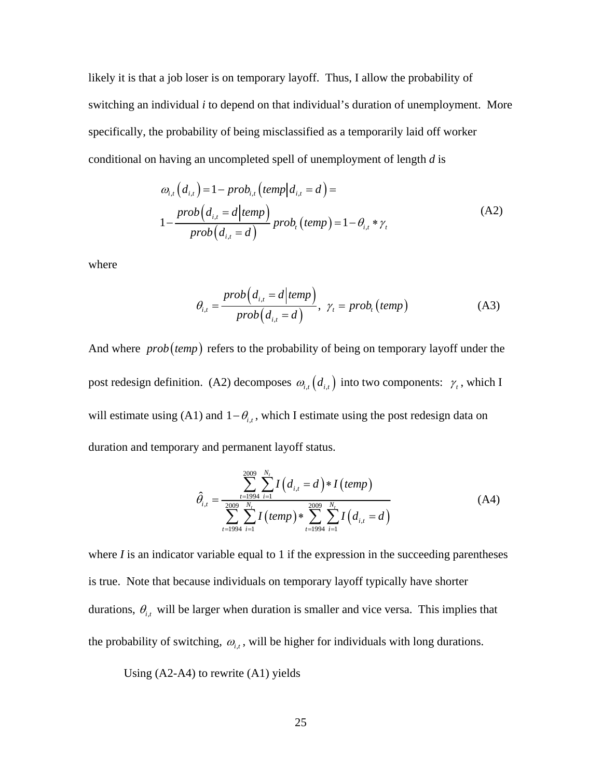likely it is that a job loser is on temporary layoff. Thus, I allow the probability of switching an individual *i* to depend on that individual's duration of unemployment. More specifically, the probability of being misclassified as a temporarily laid off worker conditional on having an uncompleted spell of unemployment of length *d* is

$$
\omega_{i,t}(d_{i,t}) = 1 - prob_{i,t}(temp|d_{i,t} = d) =
$$
  

$$
1 - \frac{prob(d_{i,t} = d|temp)}{prob(d_{i,t} = d)} prob_{i,t}(temp) = 1 - \theta_{i,t} * \gamma_{t}
$$
 (A2)

where

$$
\theta_{i,t} = \frac{prob(d_{i,t} = d|temp)}{prob(d_{i,t} = d)}, \ \gamma_t = prob_t(temp)
$$
 (A3)

And where *prob* (temp) refers to the probability of being on temporary layoff under the post redesign definition. (A2) decomposes  $\omega_{i,t}(d_{i,t})$  into two components:  $\gamma_t$ , which I will estimate using (A1) and  $1 - \theta_{i,t}$ , which I estimate using the post redesign data on duration and temporary and permanent layoff status.

$$
\hat{\theta}_{i,t} = \frac{\sum_{t=1994}^{2009} \sum_{i=1}^{N_t} I(d_{i,t} = d) * I(temp)}{\sum_{t=1994}^{2009} \sum_{i=1}^{N_t} I(temp) * \sum_{t=1994}^{2009} \sum_{i=1}^{N_t} I(d_{i,t} = d)}
$$
(A4)

where  $I$  is an indicator variable equal to 1 if the expression in the succeeding parentheses is true. Note that because individuals on temporary layoff typically have shorter durations,  $\theta_{i,t}$  will be larger when duration is smaller and vice versa. This implies that the probability of switching,  $\omega_{i,t}$ , will be higher for individuals with long durations.

Using (A2-A4) to rewrite (A1) yields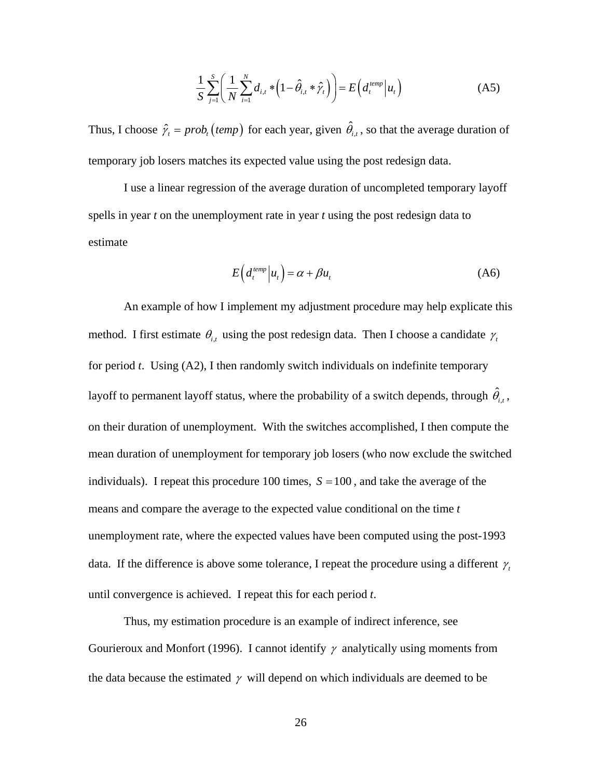$$
\frac{1}{S} \sum_{j=1}^{S} \left( \frac{1}{N} \sum_{i=1}^{N} d_{i,t} * (1 - \hat{\theta}_{i,t} * \hat{\gamma}_t) \right) = E \left( d_t^{\text{temp}} \middle| u_t \right) \tag{A5}
$$

Thus, I choose  $\hat{\gamma}_t = prob_t \text{ (temp)}$  for each year, given  $\hat{\theta}_{i,t}$ , so that the average duration of temporary job losers matches its expected value using the post redesign data.

 I use a linear regression of the average duration of uncompleted temporary layoff spells in year *t* on the unemployment rate in year *t* using the post redesign data to estimate

$$
E\left(d_t^{temp}\middle|u_t\right) = \alpha + \beta u_t \tag{A6}
$$

An example of how I implement my adjustment procedure may help explicate this method. I first estimate  $\theta_{i,t}$  using the post redesign data. Then I choose a candidate  $\gamma_t$ for period *t*. Using (A2), I then randomly switch individuals on indefinite temporary layoff to permanent layoff status, where the probability of a switch depends, through  $\hat{\theta}_{i,t}$ , on their duration of unemployment. With the switches accomplished, I then compute the mean duration of unemployment for temporary job losers (who now exclude the switched individuals). I repeat this procedure 100 times,  $S = 100$ , and take the average of the means and compare the average to the expected value conditional on the time *t* unemployment rate, where the expected values have been computed using the post-1993 data. If the difference is above some tolerance, I repeat the procedure using a different  $\gamma_t$ until convergence is achieved. I repeat this for each period *t*.

Thus, my estimation procedure is an example of indirect inference, see Gourieroux and Monfort (1996). I cannot identify  $\gamma$  analytically using moments from the data because the estimated  $\gamma$  will depend on which individuals are deemed to be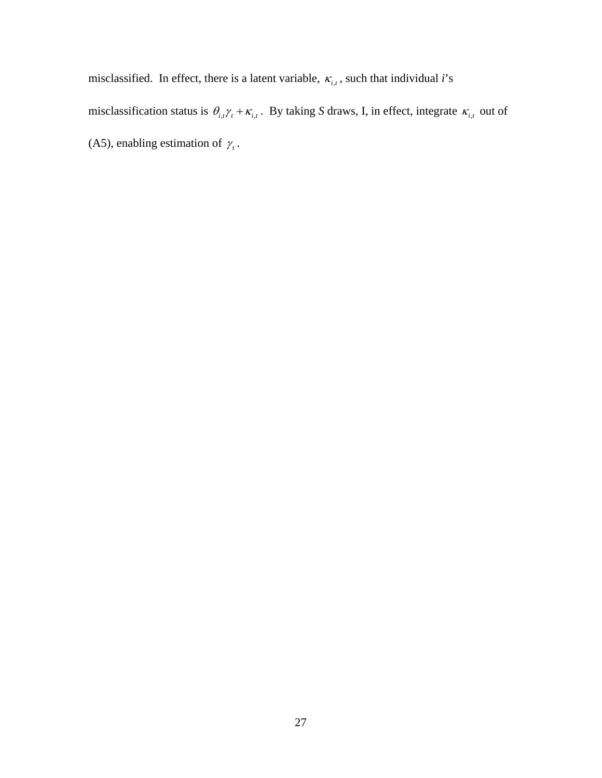misclassified. In effect, there is a latent variable,  $\kappa_{i,t}$ , such that individual *i*'s

misclassification status is  $\theta_{i,t}\gamma_t + \kappa_{i,t}$ . By taking *S* draws, I, in effect, integrate  $\kappa_{i,t}$  out of (A5), enabling estimation of  $\gamma_t$ .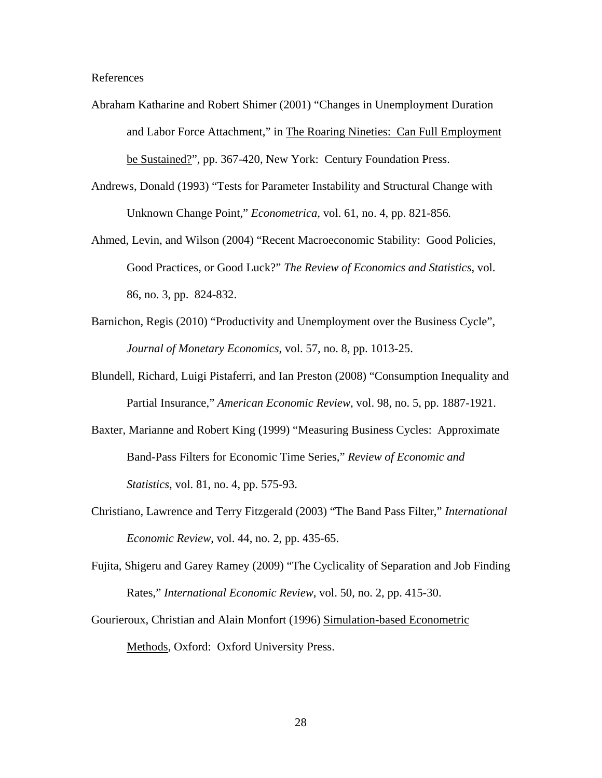### References

- Abraham Katharine and Robert Shimer (2001) "Changes in Unemployment Duration and Labor Force Attachment," in The Roaring Nineties: Can Full Employment be Sustained?", pp. 367-420, New York: Century Foundation Press.
- Andrews, Donald (1993) "Tests for Parameter Instability and Structural Change with Unknown Change Point," *Econometrica,* vol. 61, no. 4, pp. 821-856*.*
- Ahmed, Levin, and Wilson (2004) "Recent Macroeconomic Stability: Good Policies, Good Practices, or Good Luck?" *The Review of Economics and Statistics*, vol. 86, no. 3, pp. 824-832.
- Barnichon, Regis (2010) "Productivity and Unemployment over the Business Cycle", *Journal of Monetary Economics*, vol. 57, no. 8, pp. 1013-25.
- Blundell, Richard, Luigi Pistaferri, and Ian Preston (2008) "Consumption Inequality and Partial Insurance," *American Economic Review*, vol. 98, no. 5, pp. 1887-1921.
- Baxter, Marianne and Robert King (1999) "Measuring Business Cycles: Approximate Band-Pass Filters for Economic Time Series," *Review of Economic and Statistics*, vol. 81, no. 4, pp. 575-93.
- Christiano, Lawrence and Terry Fitzgerald (2003) "The Band Pass Filter," *International Economic Review*, vol. 44, no. 2, pp. 435-65.
- Fujita, Shigeru and Garey Ramey (2009) "The Cyclicality of Separation and Job Finding Rates," *International Economic Review*, vol. 50, no. 2, pp. 415-30.
- Gourieroux, Christian and Alain Monfort (1996) Simulation-based Econometric Methods, Oxford: Oxford University Press.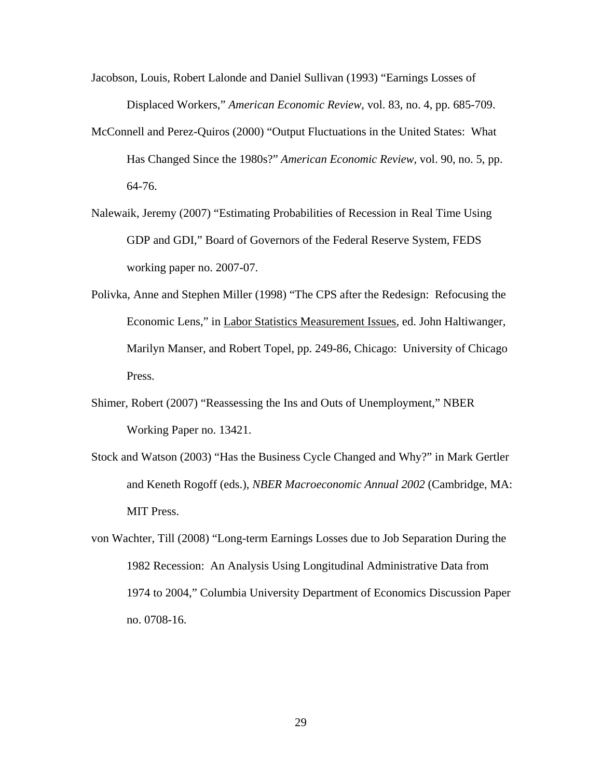- Jacobson, Louis, Robert Lalonde and Daniel Sullivan (1993) "Earnings Losses of Displaced Workers," *American Economic Review*, vol. 83, no. 4, pp. 685-709.
- McConnell and Perez-Quiros (2000) "Output Fluctuations in the United States: What Has Changed Since the 1980s?" *American Economic Review*, vol. 90, no. 5, pp. 64-76.
- Nalewaik, Jeremy (2007) "Estimating Probabilities of Recession in Real Time Using GDP and GDI," Board of Governors of the Federal Reserve System, FEDS working paper no. 2007-07.
- Polivka, Anne and Stephen Miller (1998) "The CPS after the Redesign: Refocusing the Economic Lens," in Labor Statistics Measurement Issues, ed. John Haltiwanger, Marilyn Manser, and Robert Topel, pp. 249-86, Chicago: University of Chicago Press.
- Shimer, Robert (2007) "Reassessing the Ins and Outs of Unemployment," NBER Working Paper no. 13421.
- Stock and Watson (2003) "Has the Business Cycle Changed and Why?" in Mark Gertler and Keneth Rogoff (eds.), *NBER Macroeconomic Annual 2002* (Cambridge, MA: MIT Press.
- von Wachter, Till (2008) "Long-term Earnings Losses due to Job Separation During the 1982 Recession: An Analysis Using Longitudinal Administrative Data from 1974 to 2004," Columbia University Department of Economics Discussion Paper no. 0708-16.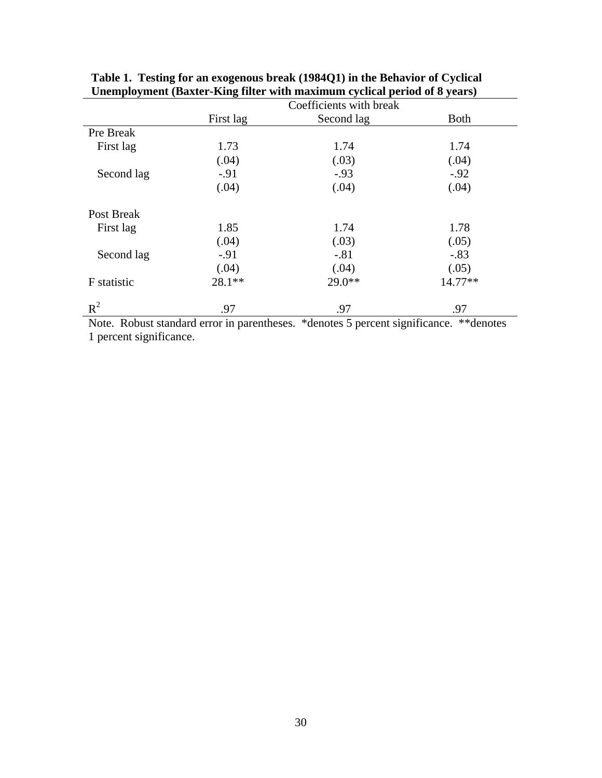|                                         | Coefficients with break |               |                            |  |
|-----------------------------------------|-------------------------|---------------|----------------------------|--|
|                                         | First lag               | Second lag    | <b>Both</b>                |  |
| Pre Break                               |                         |               |                            |  |
| First lag                               | 1.73                    | 1.74          | 1.74                       |  |
|                                         | (.04)                   | (.03)         | (.04)                      |  |
| Second lag                              | $-.91$                  | $-.93$        | $-.92$                     |  |
|                                         | (.04)                   | (.04)         | (.04)                      |  |
| Post Break                              |                         |               |                            |  |
| First lag                               | 1.85                    | 1.74          | 1.78                       |  |
|                                         | (.04)                   | (.03)         | (.05)                      |  |
| Second lag                              | $-91$                   | $-.81$        | $-.83$                     |  |
|                                         | (.04)                   | (.04)         | (.05)                      |  |
| F statistic                             | 28.1**                  | $29.0**$      | 14.77**                    |  |
| $R^2$<br>$\sim$ $\sim$<br>$\sim$ $\sim$ | .97<br>$\sim$ $\sim$    | .97<br>$\sim$ | .97<br>$\cdot$<br>$\cdots$ |  |

**Table 1. Testing for an exogenous break (1984Q1) in the Behavior of Cyclical Unemployment (Baxter-King filter with maximum cyclical period of 8 years)** 

Note. Robust standard error in parentheses. \*denotes 5 percent significance. \*\*denotes 1 percent significance.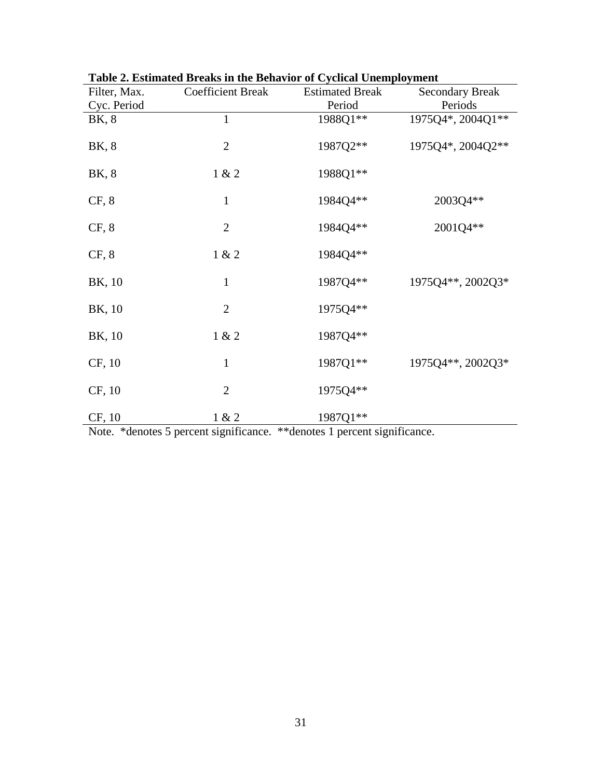| Filter, Max. | radio 2. Estimateu Dreaks III die Denavior of Cyclical Unemployment<br><b>Coefficient Break</b> | <b>Estimated Break</b> | <b>Secondary Break</b> |
|--------------|-------------------------------------------------------------------------------------------------|------------------------|------------------------|
| Cyc. Period  |                                                                                                 | Period                 | Periods                |
| BK, 8        | $\mathbf{1}$                                                                                    | 1988Q1**               | 1975Q4*, 2004Q1**      |
| BK, 8        | $\overline{2}$                                                                                  | 1987Q2**               | 1975Q4*, 2004Q2**      |
| BK, 8        | 1 & 2                                                                                           | 1988Q1**               |                        |
| CF, 8        | $\mathbf{1}$                                                                                    | 1984Q4**               | 2003Q4**               |
| CF, 8        | $\mathbf{2}$                                                                                    | 1984Q4**               | 2001Q4**               |
| CF, 8        | 1 & 2                                                                                           | 1984Q4**               |                        |
| BK, 10       | $\mathbf{1}$                                                                                    | 1987Q4**               | 1975Q4**, 2002Q3*      |
| BK, 10       | $\overline{2}$                                                                                  | 1975Q4**               |                        |
| BK, 10       | 1 & 2                                                                                           | 1987Q4**               |                        |
| CF, 10       | $\mathbf{1}$                                                                                    | 1987Q1**               | 1975Q4**, 2002Q3*      |
| CF, 10       | $\overline{2}$                                                                                  | 1975Q4**               |                        |
| CF, 10       | 1 & 2                                                                                           | 1987Q1**               |                        |

| Table 2. Estimated Breaks in the Behavior of Cyclical Unemployment |
|--------------------------------------------------------------------|
|--------------------------------------------------------------------|

Note. \*denotes 5 percent significance. \*\*denotes 1 percent significance.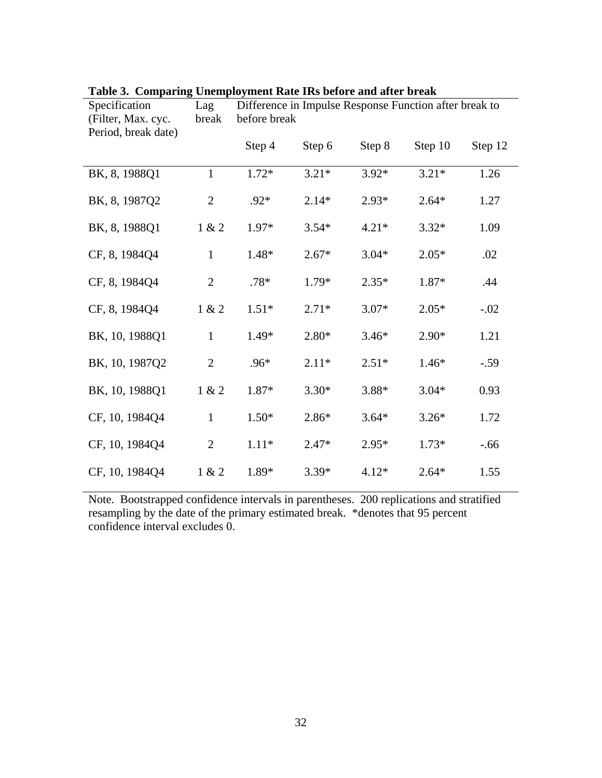| Specification<br>(Filter, Max. cyc.<br>Period, break date) | Lag<br>break   | Difference in Impulse Response Function after break to<br>before break |         |         |         |         |
|------------------------------------------------------------|----------------|------------------------------------------------------------------------|---------|---------|---------|---------|
|                                                            |                | Step 4                                                                 | Step 6  | Step 8  | Step 10 | Step 12 |
| BK, 8, 1988Q1                                              | $\mathbf{1}$   | $1.72*$                                                                | $3.21*$ | $3.92*$ | $3.21*$ | 1.26    |
| BK, 8, 1987Q2                                              | $\mathfrak{2}$ | $.92*$                                                                 | $2.14*$ | $2.93*$ | $2.64*$ | 1.27    |
| BK, 8, 1988Q1                                              | 1 & 2          | 1.97*                                                                  | $3.54*$ | $4.21*$ | $3.32*$ | 1.09    |
| CF, 8, 1984Q4                                              | $\mathbf{1}$   | 1.48*                                                                  | $2.67*$ | $3.04*$ | $2.05*$ | .02     |
| CF, 8, 1984Q4                                              | $\overline{2}$ | $.78*$                                                                 | 1.79*   | $2.35*$ | 1.87*   | .44     |
| CF, 8, 1984Q4                                              | 1 & 2          | $1.51*$                                                                | $2.71*$ | $3.07*$ | $2.05*$ | $-.02$  |
| BK, 10, 1988Q1                                             | $\mathbf{1}$   | 1.49*                                                                  | $2.80*$ | $3.46*$ | $2.90*$ | 1.21    |
| BK, 10, 1987Q2                                             | $\overline{2}$ | $.96*$                                                                 | $2.11*$ | $2.51*$ | $1.46*$ | $-.59$  |
| BK, 10, 1988Q1                                             | 1 & 2          | 1.87*                                                                  | $3.30*$ | 3.88*   | $3.04*$ | 0.93    |
| CF, 10, 1984Q4                                             | $\mathbf{1}$   | $1.50*$                                                                | 2.86*   | $3.64*$ | $3.26*$ | 1.72    |
| CF, 10, 1984Q4                                             | $\mathfrak{2}$ | $1.11*$                                                                | $2.47*$ | $2.95*$ | $1.73*$ | $-0.66$ |
| CF, 10, 1984Q4                                             | 1 & 2          | 1.89*                                                                  | $3.39*$ | $4.12*$ | $2.64*$ | 1.55    |

|  | Table 3. Comparing Unemployment Rate IRs before and after break |  |  |
|--|-----------------------------------------------------------------|--|--|
|  |                                                                 |  |  |

Note. Bootstrapped confidence intervals in parentheses. 200 replications and stratified resampling by the date of the primary estimated break. \*denotes that 95 percent confidence interval excludes 0.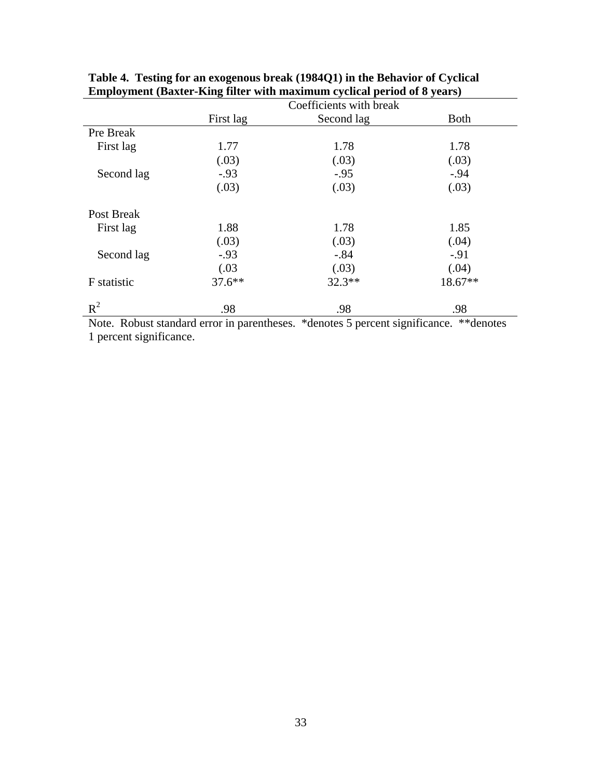|                                        | Coefficients with break                   |                                                 |                                            |  |
|----------------------------------------|-------------------------------------------|-------------------------------------------------|--------------------------------------------|--|
|                                        | First lag                                 | Second lag                                      | <b>Both</b>                                |  |
| Pre Break                              |                                           |                                                 |                                            |  |
| First lag                              | 1.77                                      | 1.78                                            | 1.78                                       |  |
|                                        | (.03)                                     | (.03)                                           | (.03)                                      |  |
| Second lag                             | $-.93$                                    | $-.95$                                          | $-.94$                                     |  |
|                                        | (.03)                                     | (.03)                                           | (.03)                                      |  |
| Post Break                             |                                           |                                                 |                                            |  |
| First lag                              | 1.88                                      | 1.78                                            | 1.85                                       |  |
|                                        | (.03)                                     | (.03)                                           | (.04)                                      |  |
| Second lag                             | $-.93$                                    | $-.84$                                          | $-.91$                                     |  |
|                                        | (.03)                                     | (.03)                                           | (.04)                                      |  |
| F statistic                            | $37.6***$                                 | $32.3**$                                        | 18.67**                                    |  |
| $R^2$<br>$\sim$ $\sim$<br>$\mathbf{v}$ | .98<br>$\sim$ $\sim$<br>$\sim$ 100 $\sim$ | .98<br>$\mathbf{A}$<br>$\overline{\phantom{0}}$ | .98<br>$\cdot$ $\sim$<br>and and the state |  |

**Table 4. Testing for an exogenous break (1984Q1) in the Behavior of Cyclical Employment (Baxter-King filter with maximum cyclical period of 8 years)** 

Note. Robust standard error in parentheses. \*denotes 5 percent significance. \*\*denotes 1 percent significance.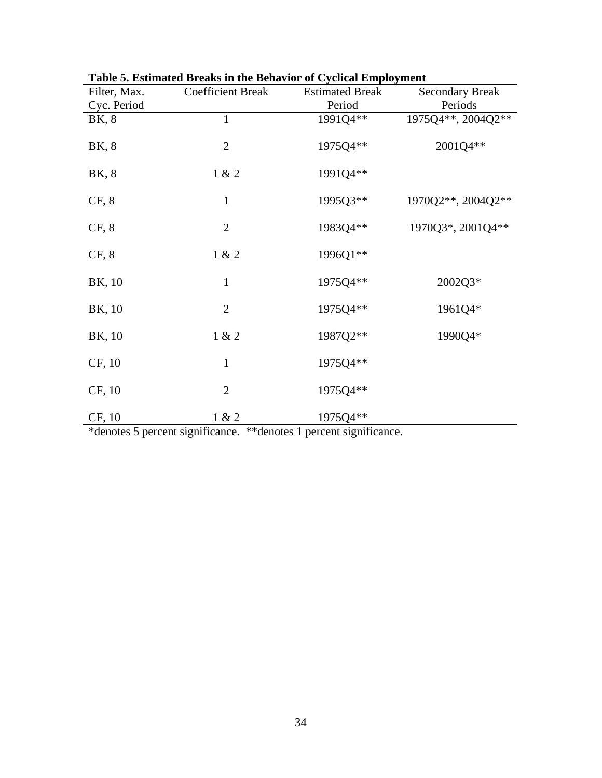| Filter, Max. | <b>Coefficient Break</b> | <b>Estimated Break</b> | <b>Secondary Break</b> |
|--------------|--------------------------|------------------------|------------------------|
| Cyc. Period  |                          | Period                 | Periods                |
| BK, 8        | $\mathbf{1}$             | 1991Q4**               | 1975Q4**, 2004Q2**     |
| BK, 8        | $\mathbf{2}$             | 1975Q4**               | 2001Q4**               |
| BK, 8        | 1 & 2                    | 1991Q4**               |                        |
| CF, 8        | $\mathbf{1}$             | 1995Q3**               | 1970Q2**, 2004Q2**     |
| CF, 8        | $\overline{2}$           | 1983Q4**               | 1970Q3*, 2001Q4**      |
| CF, 8        | 1 & 2                    | 1996Q1**               |                        |
| BK, 10       | $\mathbf{1}$             | 1975Q4**               | 2002Q3*                |
| BK, 10       | $\overline{2}$           | 1975Q4**               | 1961Q4*                |
| BK, 10       | 1 & 2                    | 1987Q2**               | 1990Q4*                |
| CF, 10       | $\mathbf{1}$             | 1975Q4**               |                        |
| CF, 10       | $\overline{2}$           | 1975Q4**               |                        |
| CF, 10       | 1 & 2                    | 1975Q4**               |                        |

| Table 5. Estimated Breaks in the Behavior of Cyclical Employment |  |  |  |  |  |  |  |
|------------------------------------------------------------------|--|--|--|--|--|--|--|
|------------------------------------------------------------------|--|--|--|--|--|--|--|

\*denotes 5 percent significance. \*\*denotes 1 percent significance.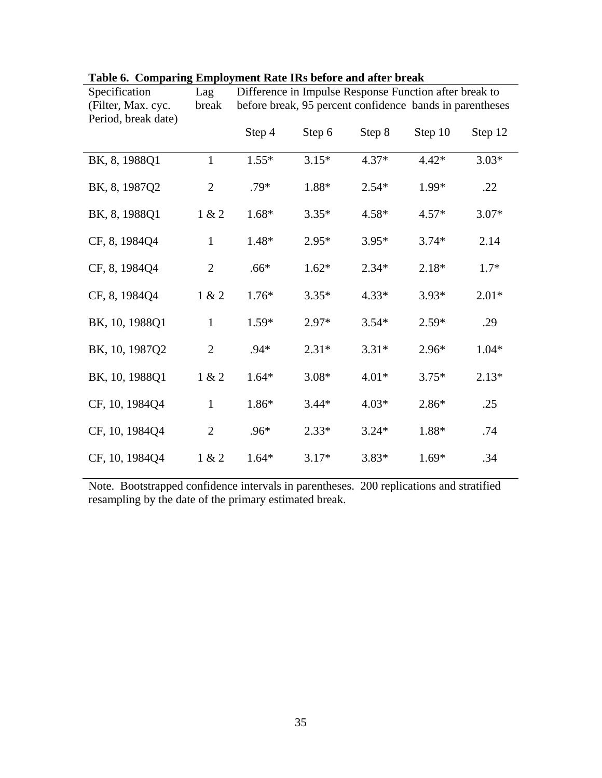| Specification<br>(Filter, Max. cyc. | Lag<br>break   | Difference in Impulse Response Function after break to<br>before break, 95 percent confidence bands in parentheses |         |         |         |         |
|-------------------------------------|----------------|--------------------------------------------------------------------------------------------------------------------|---------|---------|---------|---------|
| Period, break date)                 |                |                                                                                                                    |         |         |         |         |
|                                     |                | Step 4                                                                                                             | Step 6  | Step 8  | Step 10 | Step 12 |
| BK, 8, 1988Q1                       | $\mathbf{1}$   | $1.55*$                                                                                                            | $3.15*$ | $4.37*$ | $4.42*$ | $3.03*$ |
| BK, 8, 1987Q2                       | $\mathfrak{2}$ | .79*                                                                                                               | 1.88*   | $2.54*$ | 1.99*   | .22     |
| BK, 8, 1988Q1                       | 1 & 2          | 1.68*                                                                                                              | $3.35*$ | $4.58*$ | $4.57*$ | $3.07*$ |
| CF, 8, 1984Q4                       | $\mathbf{1}$   | 1.48*                                                                                                              | $2.95*$ | $3.95*$ | $3.74*$ | 2.14    |
| CF, 8, 1984Q4                       | $\mathfrak{2}$ | $.66*$                                                                                                             | $1.62*$ | $2.34*$ | $2.18*$ | $1.7*$  |
| CF, 8, 1984Q4                       | 1 & 2          | $1.76*$                                                                                                            | $3.35*$ | $4.33*$ | $3.93*$ | $2.01*$ |
| BK, 10, 1988Q1                      | $\mathbf{1}$   | $1.59*$                                                                                                            | $2.97*$ | $3.54*$ | $2.59*$ | .29     |
| BK, 10, 1987Q2                      | $\overline{2}$ | $.94*$                                                                                                             | $2.31*$ | $3.31*$ | $2.96*$ | $1.04*$ |
| BK, 10, 1988Q1                      | 1 & 2          | $1.64*$                                                                                                            | $3.08*$ | $4.01*$ | $3.75*$ | $2.13*$ |
| CF, 10, 1984Q4                      | $\mathbf{1}$   | 1.86*                                                                                                              | $3.44*$ | $4.03*$ | 2.86*   | .25     |
| CF, 10, 1984Q4                      | $\overline{2}$ | .96*                                                                                                               | $2.33*$ | $3.24*$ | 1.88*   | .74     |
| CF, 10, 1984Q4                      | 1 & 2          | $1.64*$                                                                                                            | $3.17*$ | $3.83*$ | $1.69*$ | .34     |

## **Table 6. Comparing Employment Rate IRs before and after break**

Note. Bootstrapped confidence intervals in parentheses. 200 replications and stratified resampling by the date of the primary estimated break.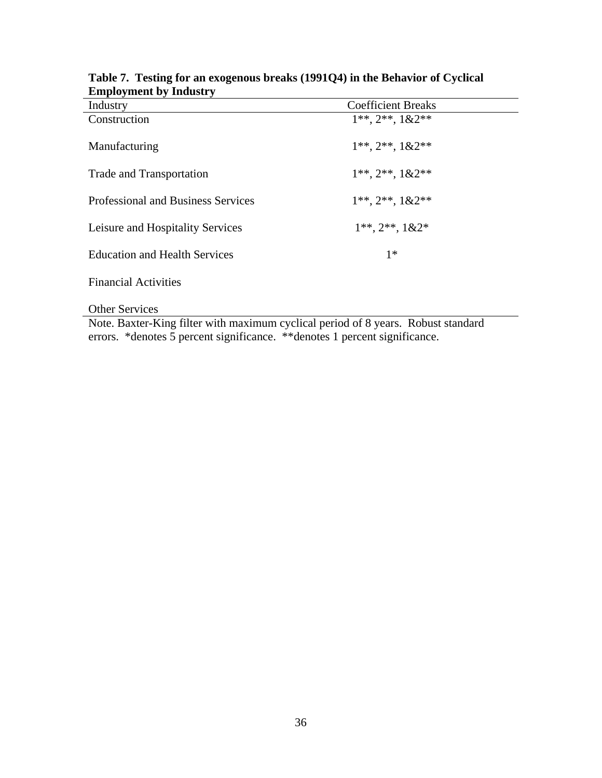| Industry                             | <b>Coefficient Breaks</b>         |  |
|--------------------------------------|-----------------------------------|--|
| Construction                         | $1^{**}$ , $2^{**}$ , $1&&2^{**}$ |  |
| Manufacturing                        | $1^{**}, 2^{**}, 1&2^{**}$        |  |
| Trade and Transportation             | $1^{**}$ , $2^{**}$ , $1&&2^{**}$ |  |
| Professional and Business Services   | $1^{**}$ , $2^{**}$ , $1&2^{**}$  |  |
| Leisure and Hospitality Services     | $1^{**}$ , $2^{**}$ , $1&2^*$     |  |
| <b>Education and Health Services</b> | $1*$                              |  |
| <b>Financial Activities</b>          |                                   |  |

## **Table 7. Testing for an exogenous breaks (1991Q4) in the Behavior of Cyclical Employment by Industry**

Other Services

Note. Baxter-King filter with maximum cyclical period of 8 years. Robust standard errors. \*denotes 5 percent significance. \*\*denotes 1 percent significance.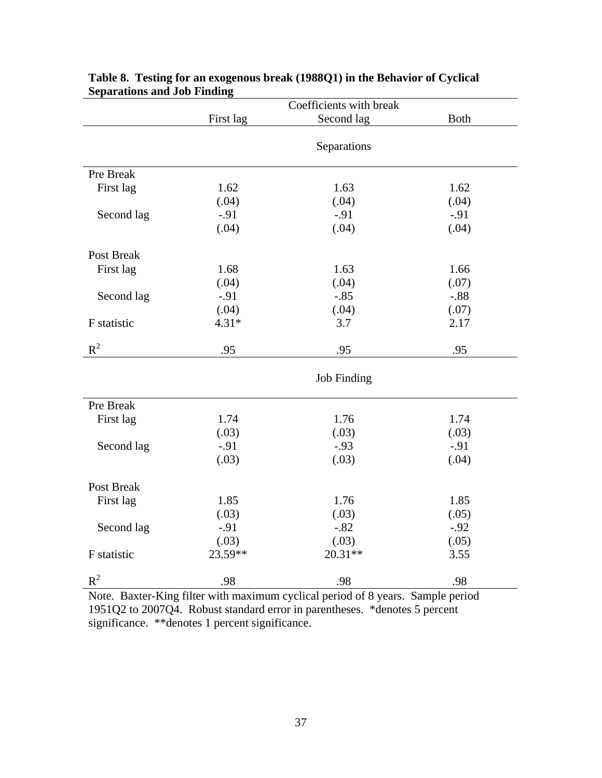|                   | Coefficients with break |                    |             |  |
|-------------------|-------------------------|--------------------|-------------|--|
|                   | First lag               | Second lag         | <b>Both</b> |  |
|                   |                         |                    |             |  |
|                   |                         | Separations        |             |  |
|                   |                         |                    |             |  |
| Pre Break         |                         |                    |             |  |
| First lag         | 1.62                    | 1.63               | 1.62        |  |
|                   | (.04)                   | (.04)              | (.04)       |  |
| Second lag        | $-.91$                  | $-.91$             | $-.91$      |  |
|                   | (.04)                   | (.04)              | (.04)       |  |
| <b>Post Break</b> |                         |                    |             |  |
| First lag         | 1.68                    | 1.63               | 1.66        |  |
|                   | (.04)                   | (.04)              | (.07)       |  |
| Second lag        | $-.91$                  | $-.85$             | $-.88$      |  |
|                   | (.04)                   | (.04)              | (.07)       |  |
| F statistic       | $4.31*$                 | 3.7                | 2.17        |  |
|                   |                         |                    |             |  |
| $R^2$             | .95                     | .95                | .95         |  |
|                   |                         | <b>Job Finding</b> |             |  |
|                   |                         |                    |             |  |
| Pre Break         |                         |                    |             |  |
| First lag         | 1.74                    | 1.76               | 1.74        |  |
|                   | (.03)                   | (.03)              | (.03)       |  |
| Second lag        | $-.91$                  | $-.93$             | $-.91$      |  |
|                   | (.03)                   | (.03)              | (.04)       |  |
| Post Break        |                         |                    |             |  |
|                   |                         |                    |             |  |
| First lag         | 1.85                    | 1.76               | 1.85        |  |
|                   | (.03)                   | (.03)              | (.05)       |  |
| Second lag        | $-.91$                  | $-.82$             | $-.92$      |  |
|                   | (.03)                   | (.03)              | (.05)       |  |
| F statistic       | 23.59**                 | $20.31**$          | 3.55        |  |
| $R^2$             | .98                     | .98                | .98         |  |

### **Table 8. Testing for an exogenous break (1988Q1) in the Behavior of Cyclical Separations and Job Finding**

Note. Baxter-King filter with maximum cyclical period of 8 years. Sample period 1951Q2 to 2007Q4. Robust standard error in parentheses. \*denotes 5 percent significance. \*\*denotes 1 percent significance.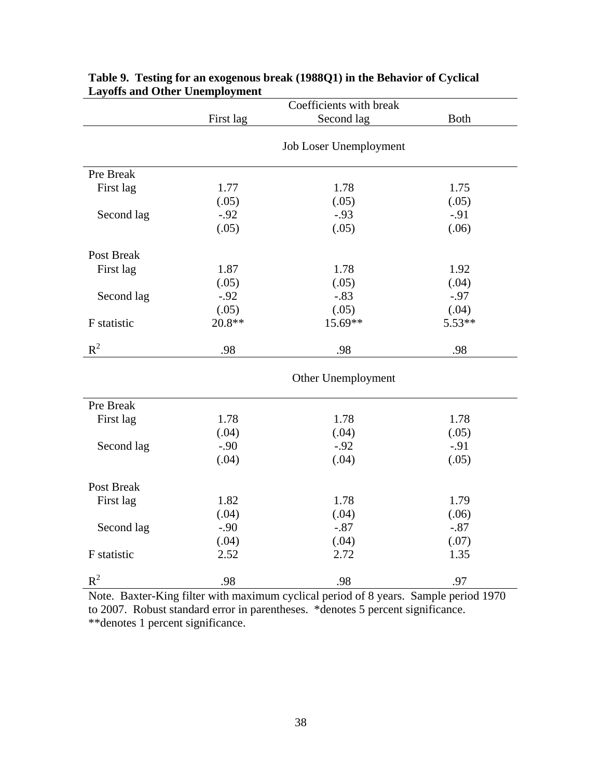|                   | Coefficients with break |                        |             |  |
|-------------------|-------------------------|------------------------|-------------|--|
|                   | First lag               | Second lag             | <b>Both</b> |  |
|                   |                         |                        |             |  |
|                   |                         | Job Loser Unemployment |             |  |
| Pre Break         |                         |                        |             |  |
| First lag         | 1.77                    | 1.78                   | 1.75        |  |
|                   | (.05)                   | (.05)                  | (.05)       |  |
| Second lag        | $-.92$                  | $-.93$                 | $-.91$      |  |
|                   | (.05)                   | (.05)                  | (.06)       |  |
| Post Break        |                         |                        |             |  |
| First lag         | 1.87                    | 1.78                   | 1.92        |  |
|                   | (.05)                   | (.05)                  | (.04)       |  |
| Second lag        | $-.92$                  | $-.83$                 | $-.97$      |  |
|                   | (.05)                   | (.05)                  | (.04)       |  |
| F statistic       | $20.8**$                | 15.69**                | $5.53**$    |  |
| $R^2$             | .98                     | .98                    | .98         |  |
|                   |                         | Other Unemployment     |             |  |
| Pre Break         |                         |                        |             |  |
| First lag         | 1.78                    | 1.78                   | 1.78        |  |
|                   | (.04)                   | (.04)                  | (.05)       |  |
| Second lag        | $-.90$                  | $-.92$                 | $-.91$      |  |
|                   | (.04)                   | (.04)                  | (.05)       |  |
| <b>Post Break</b> |                         |                        |             |  |
| First lag         | 1.82                    | 1.78                   | 1.79        |  |
|                   | (.04)                   | (.04)                  | (.06)       |  |
| Second lag        | $-.90$                  | $-.87$                 | $-.87$      |  |
|                   | (.04)                   | (.04)                  | (.07)       |  |
| F statistic       | 2.52                    | 2.72                   | 1.35        |  |
| $R^2$             | .98                     | .98                    | .97         |  |

### **Table 9. Testing for an exogenous break (1988Q1) in the Behavior of Cyclical Layoffs and Other Unemployment**

Note. Baxter-King filter with maximum cyclical period of 8 years. Sample period 1970 to 2007. Robust standard error in parentheses. \*denotes 5 percent significance. \*\*denotes 1 percent significance.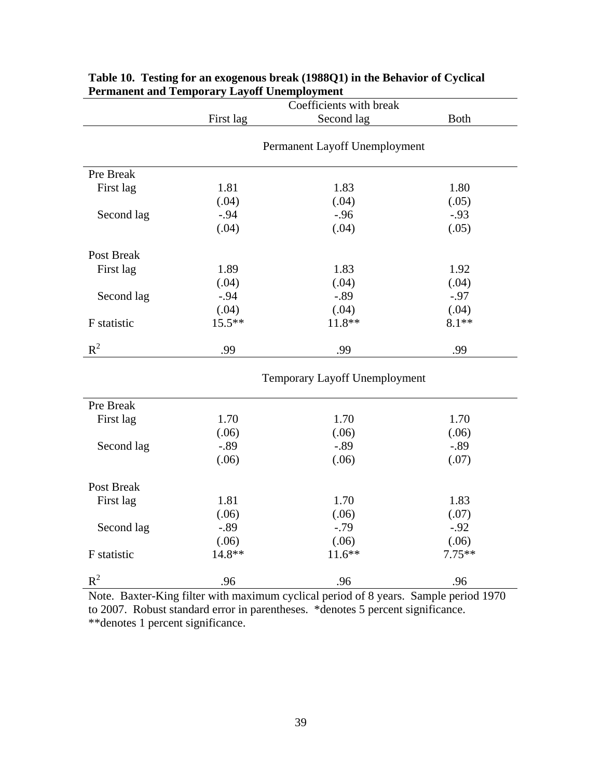|             | Coefficients with break |                               |             |  |
|-------------|-------------------------|-------------------------------|-------------|--|
|             | First lag               | Second lag                    | <b>Both</b> |  |
|             |                         |                               |             |  |
|             |                         | Permanent Layoff Unemployment |             |  |
| Pre Break   |                         |                               |             |  |
| First lag   | 1.81                    | 1.83                          | 1.80        |  |
|             | (.04)                   | (.04)                         | (.05)       |  |
| Second lag  | $-.94$                  | $-.96$                        | $-.93$      |  |
|             | (.04)                   | (.04)                         | (.05)       |  |
| Post Break  |                         |                               |             |  |
| First lag   | 1.89                    | 1.83                          | 1.92        |  |
|             | (.04)                   | (.04)                         | (.04)       |  |
| Second lag  | $-.94$                  | $-.89$                        | $-.97$      |  |
|             | (.04)                   | (.04)                         | (.04)       |  |
| F statistic | $15.5***$               | $11.8**$                      | $8.1**$     |  |
| $R^2$       | .99                     | .99                           | .99         |  |
|             |                         | Temporary Layoff Unemployment |             |  |
| Pre Break   |                         |                               |             |  |
| First lag   | 1.70                    | 1.70                          | 1.70        |  |
|             | (.06)                   | (.06)                         | (.06)       |  |
| Second lag  | $-.89$                  | $-.89$                        | $-.89$      |  |
|             | (.06)                   | (.06)                         | (.07)       |  |
| Post Break  |                         |                               |             |  |
| First lag   | 1.81                    | 1.70                          | 1.83        |  |
|             | (.06)                   | (.06)                         | (.07)       |  |
| Second lag  | $-.89$                  | $-0.79$                       | $-.92$      |  |
|             | (.06)                   | (.06)                         | (.06)       |  |
| F statistic | 14.8**                  | $11.6**$                      | $7.75**$    |  |
| $R^2$       | .96                     | .96                           | .96         |  |

### **Table 10. Testing for an exogenous break (1988Q1) in the Behavior of Cyclical Permanent and Temporary Layoff Unemployment**

Note. Baxter-King filter with maximum cyclical period of 8 years. Sample period 1970 to 2007. Robust standard error in parentheses. \*denotes 5 percent significance. \*\*denotes 1 percent significance.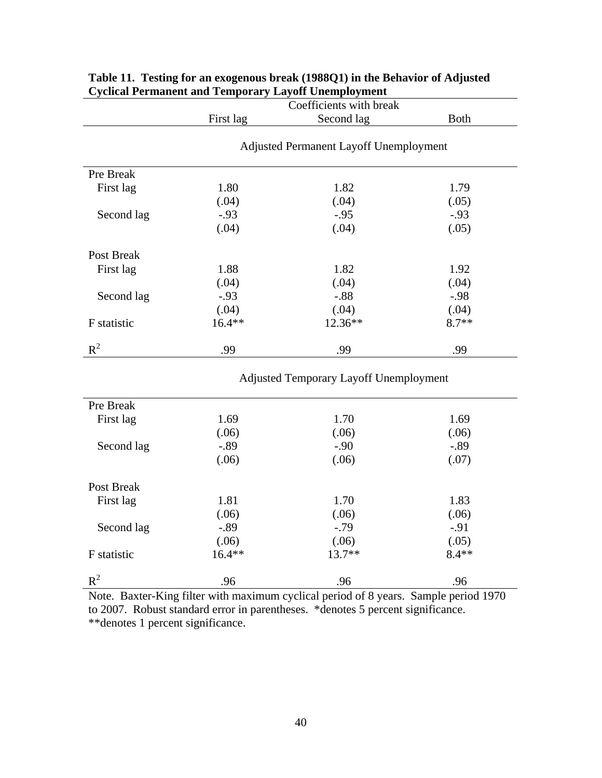|             | Coefficients with break                       |            |             |  |  |
|-------------|-----------------------------------------------|------------|-------------|--|--|
|             | First lag                                     | Second lag | <b>Both</b> |  |  |
|             | <b>Adjusted Permanent Layoff Unemployment</b> |            |             |  |  |
| Pre Break   |                                               |            |             |  |  |
| First lag   | 1.80                                          | 1.82       | 1.79        |  |  |
|             | (.04)                                         | (.04)      | (.05)       |  |  |
| Second lag  | $-0.93$                                       | $-.95$     | $-.93$      |  |  |
|             | (.04)                                         | (.04)      | (.05)       |  |  |
| Post Break  |                                               |            |             |  |  |
| First lag   | 1.88                                          | 1.82       | 1.92        |  |  |
|             | (.04)                                         | (.04)      | (.04)       |  |  |
| Second lag  | $-.93$                                        | $-.88$     | $-.98$      |  |  |
|             | (.04)                                         | (.04)      | (.04)       |  |  |
| F statistic | $16.4**$                                      | 12.36**    | $8.7**$     |  |  |
| $R^2$       | .99                                           | .99        | .99         |  |  |

### **Table 11. Testing for an exogenous break (1988Q1) in the Behavior of Adjusted Cyclical Permanent and Temporary Layoff Unemployment**

Adjusted Temporary Layoff Unemployment

| Pre Break   |        |          |         |
|-------------|--------|----------|---------|
| First lag   | 1.69   | 1.70     | 1.69    |
|             | (.06)  | (.06)    | (.06)   |
| Second lag  | $-.89$ | $-.90$   | $-.89$  |
|             | (.06)  | (.06)    | (.07)   |
| Post Break  |        |          |         |
| First lag   | 1.81   | 1.70     | 1.83    |
|             | (.06)  | (.06)    | (.06)   |
| Second lag  | $-.89$ | $-.79$   | $-91$   |
|             | (.06)  | (.06)    | (.05)   |
| F statistic | 16.4** | $13.7**$ | $8.4**$ |
| $R^2$       | .96    | .96      | .96     |

Note. Baxter-King filter with maximum cyclical period of 8 years. Sample period 1970 to 2007. Robust standard error in parentheses. \*denotes 5 percent significance. \*\*denotes 1 percent significance.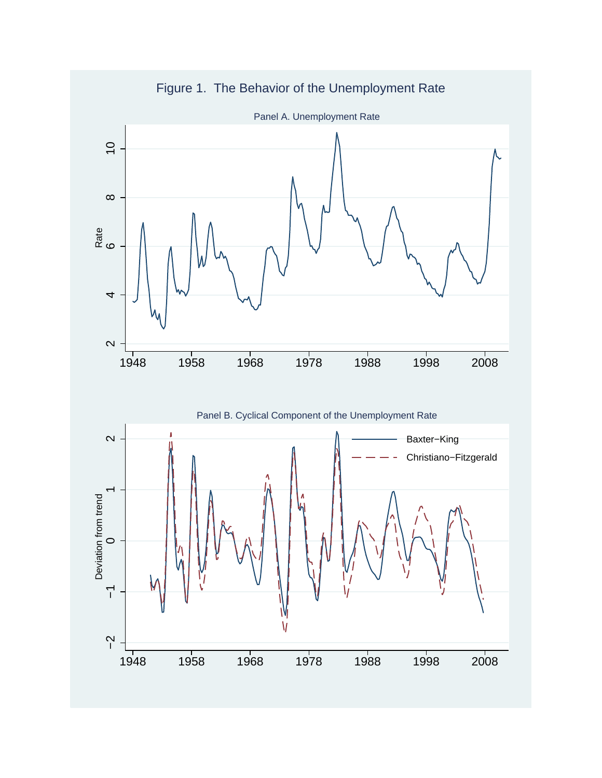

Figure 1. The Behavior of the Unemployment Rate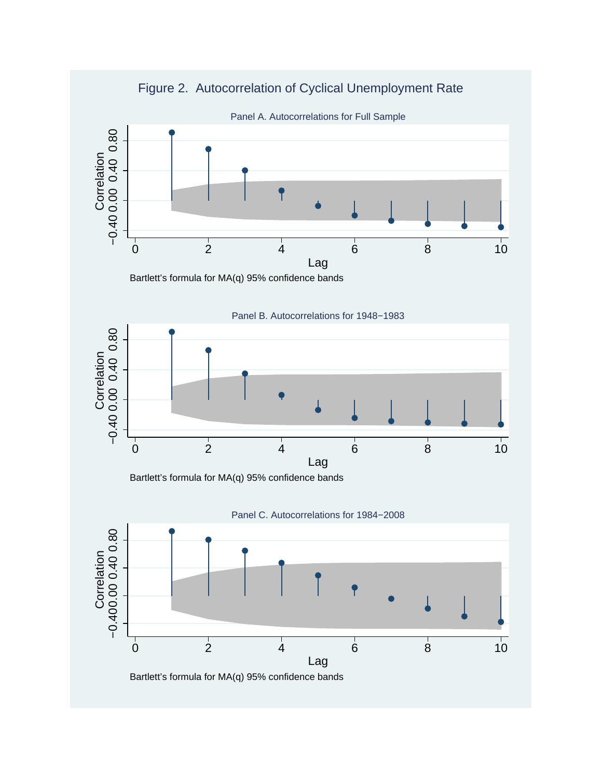



Bartlett's formula for MA(q) 95% confidence bands

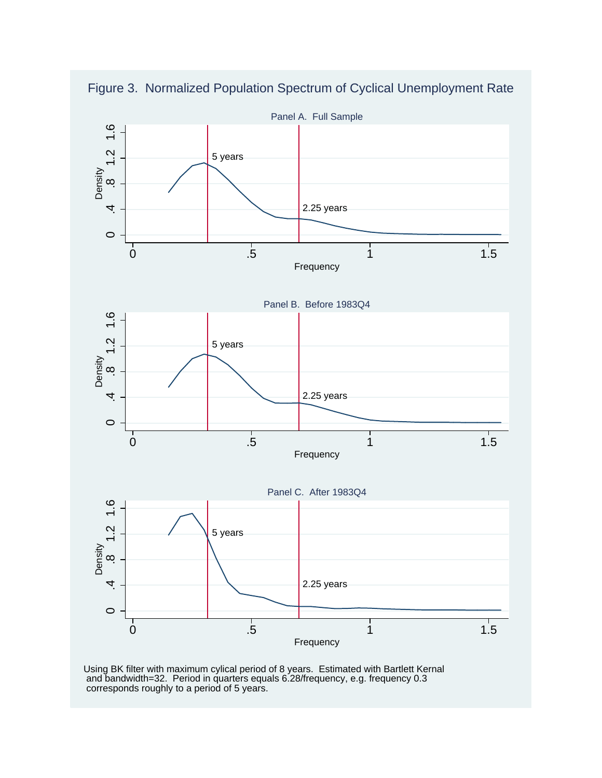



Using BK filter with maximum cylical period of 8 years. Estimated with Bartlett Kernal and bandwidth=32. Period in quarters equals 6.28/frequency, e.g. frequency 0.3 corresponds roughly to a period of 5 years.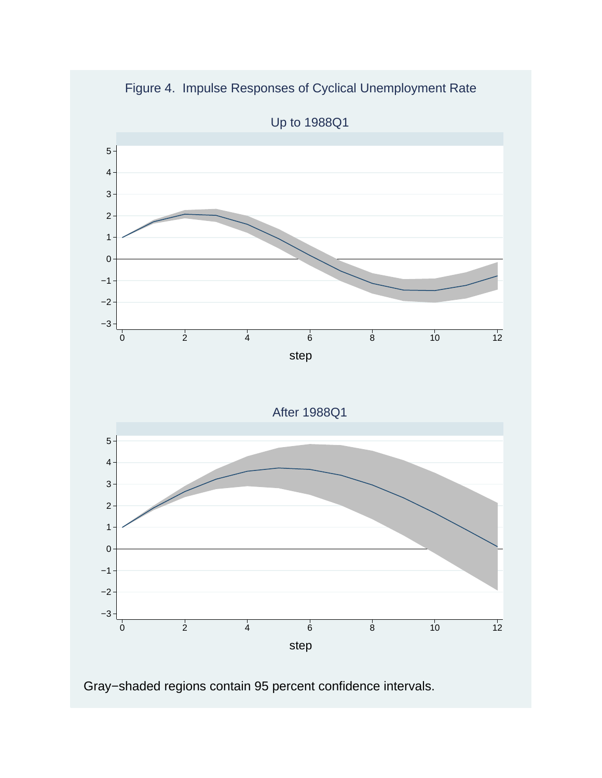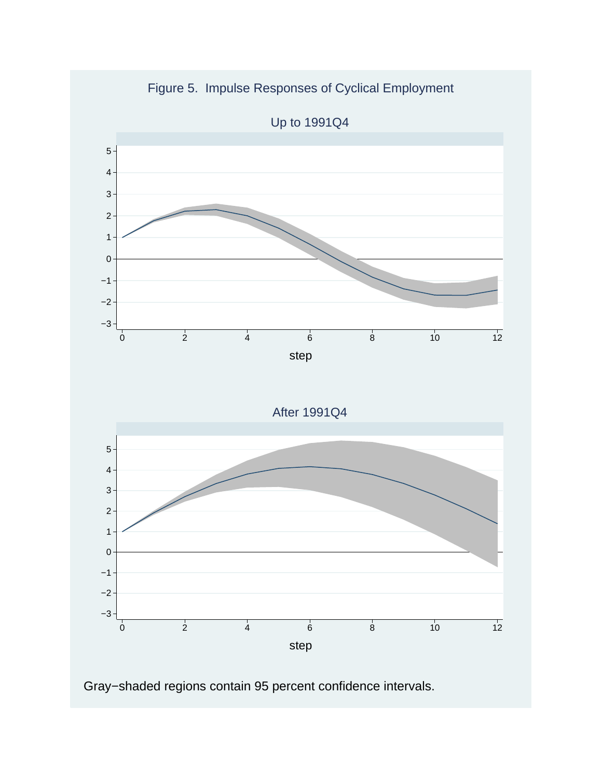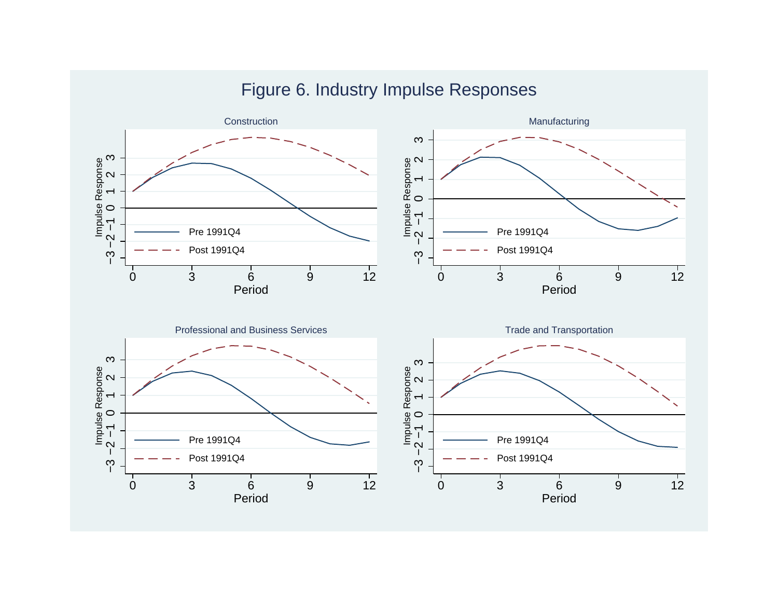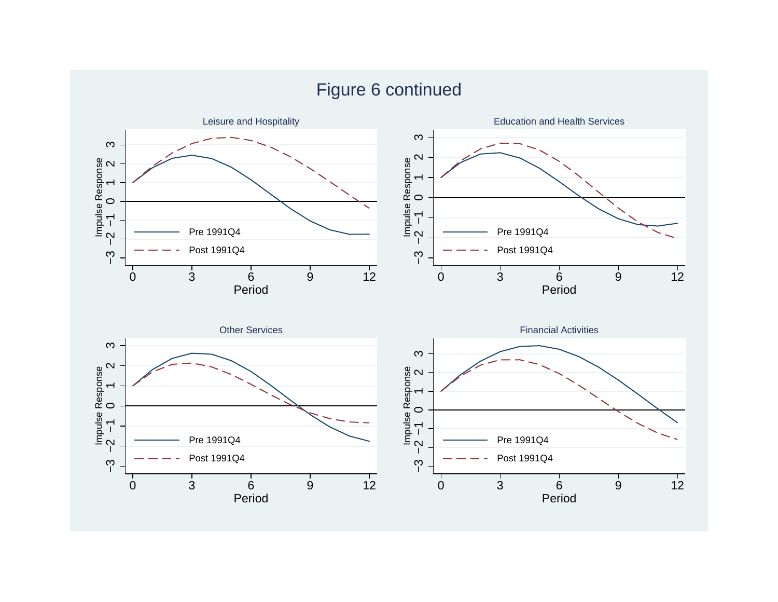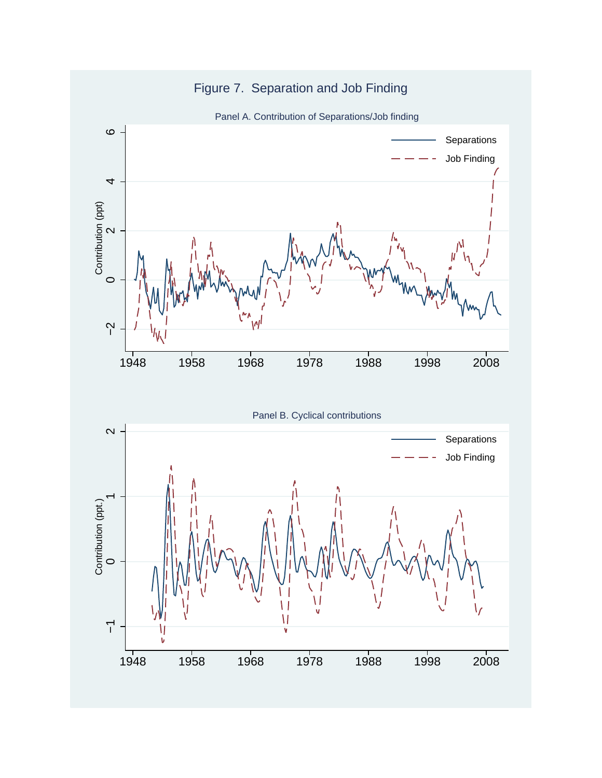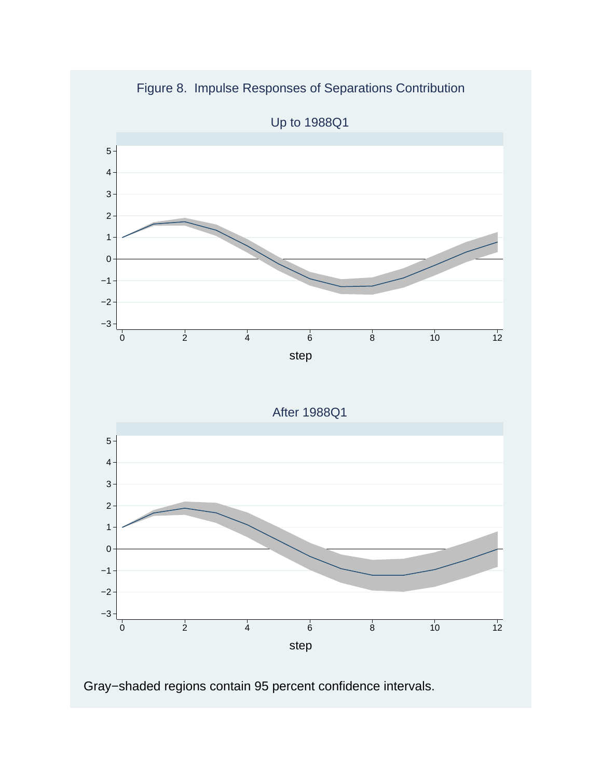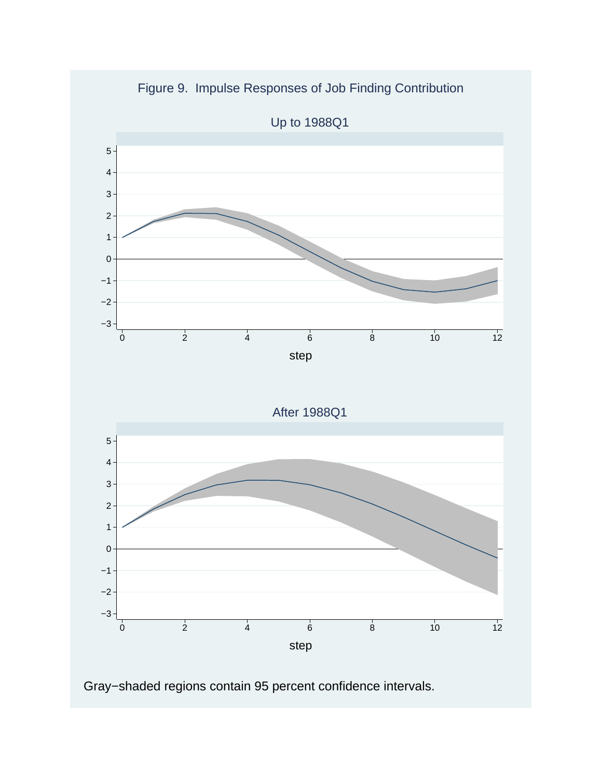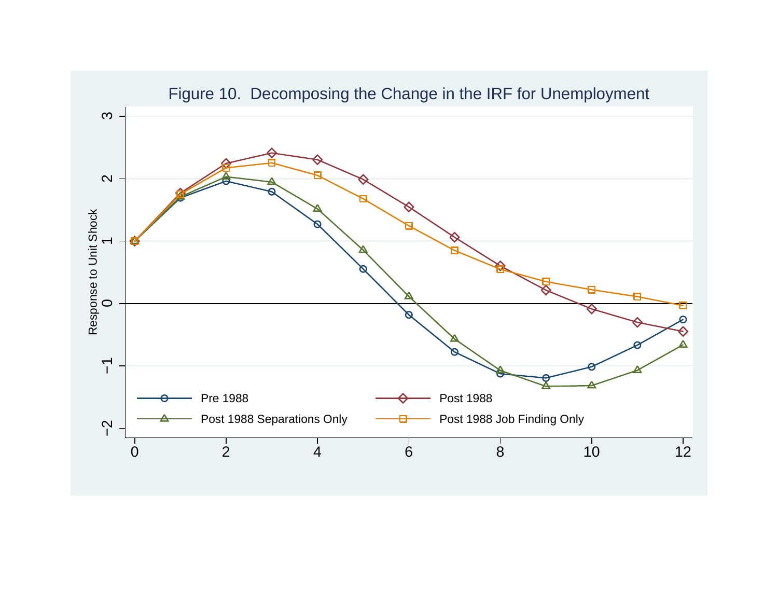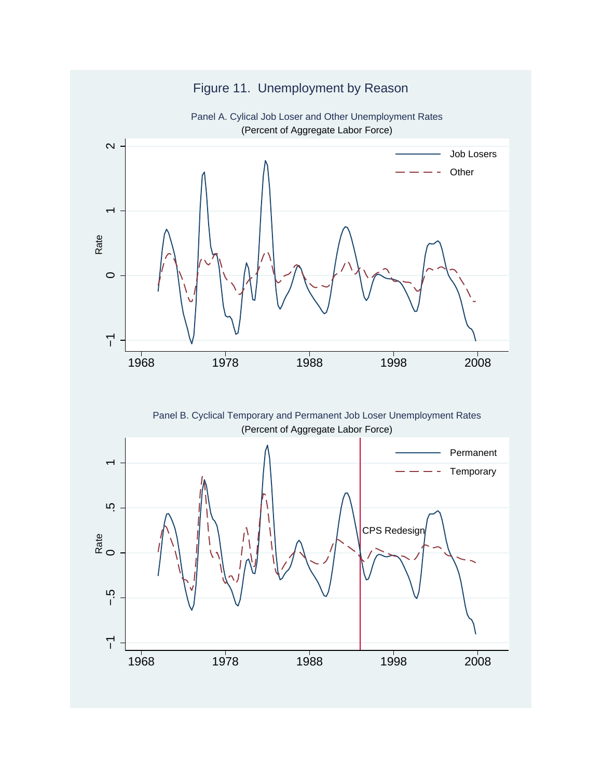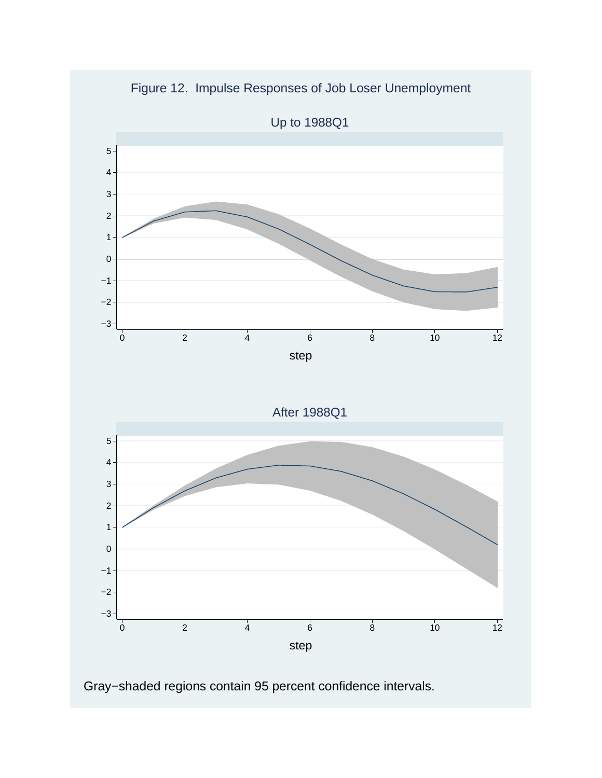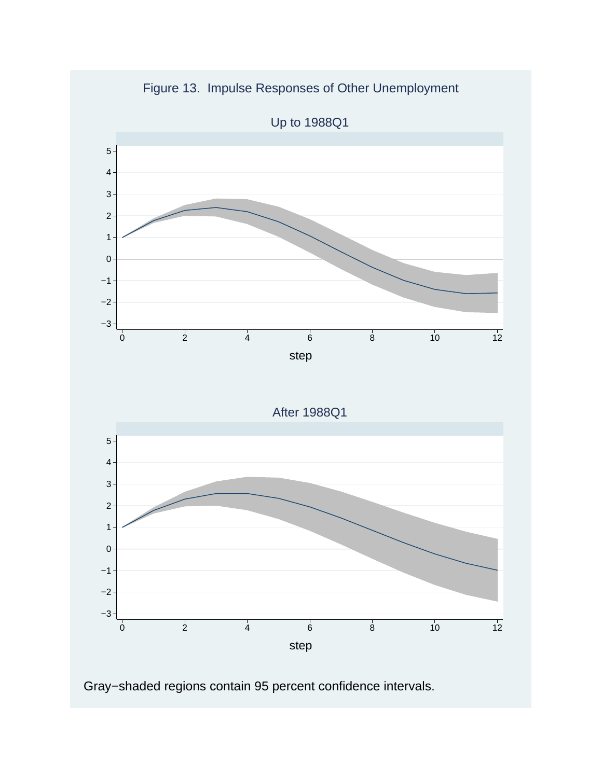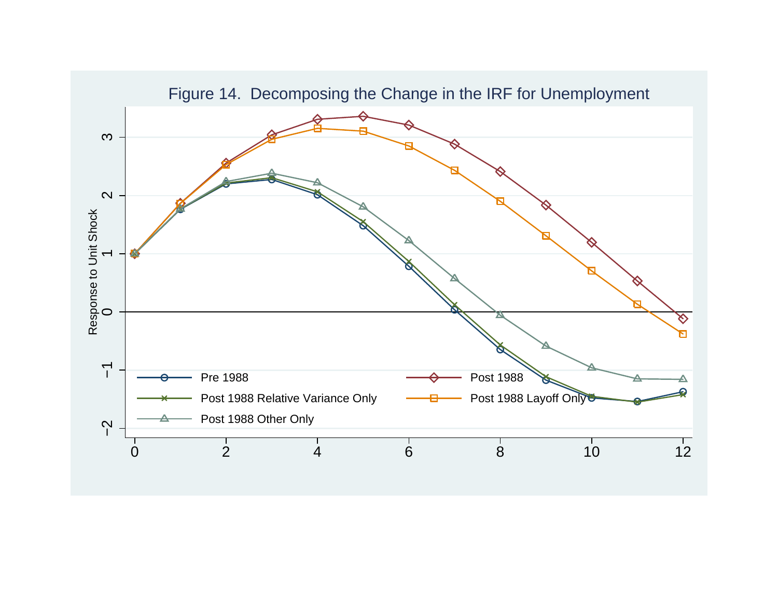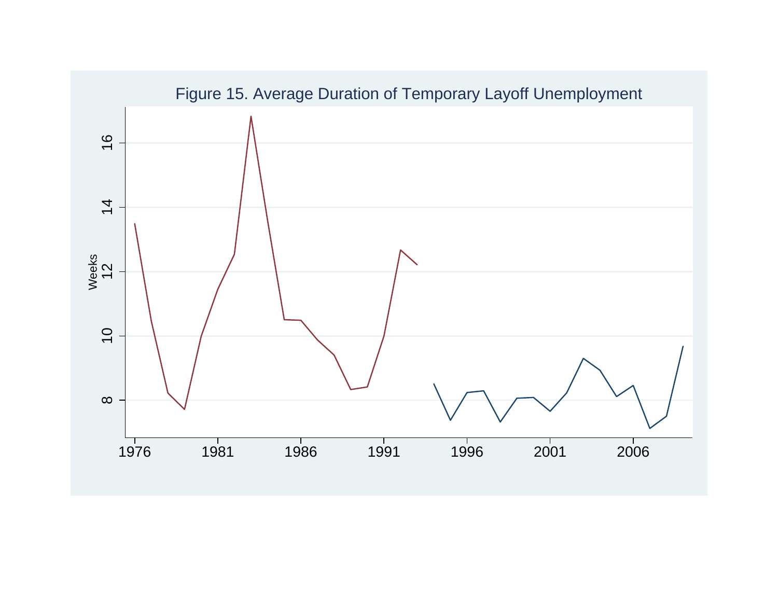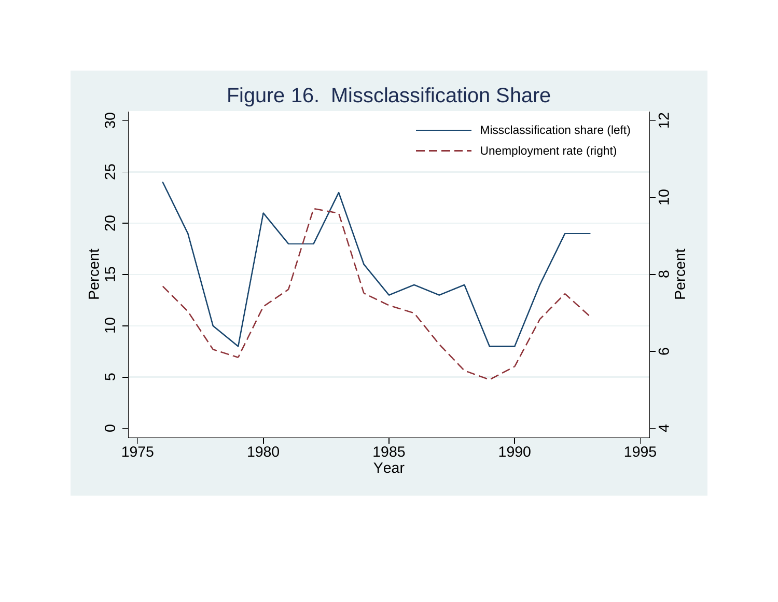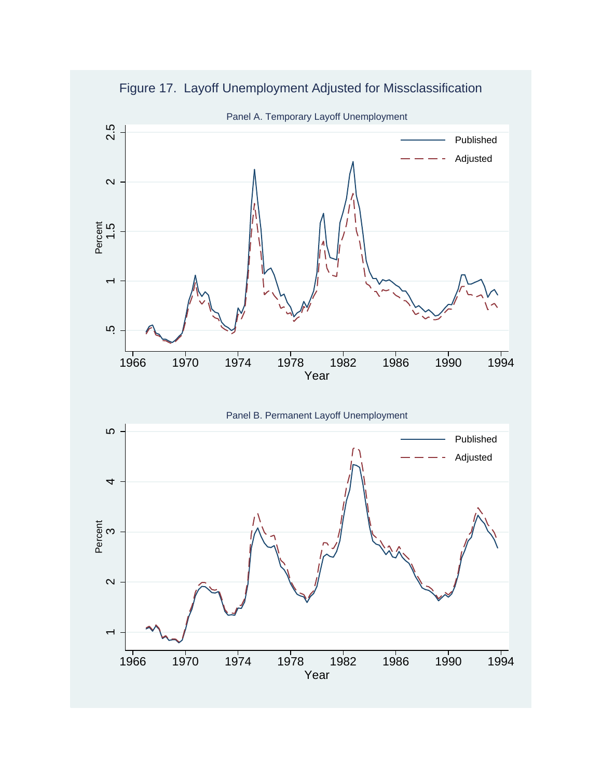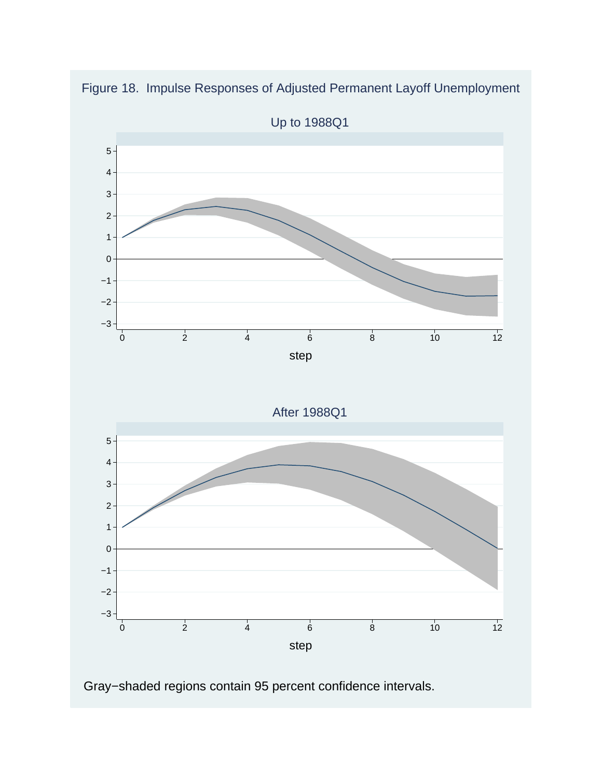

Figure 18. Impulse Responses of Adjusted Permanent Layoff Unemployment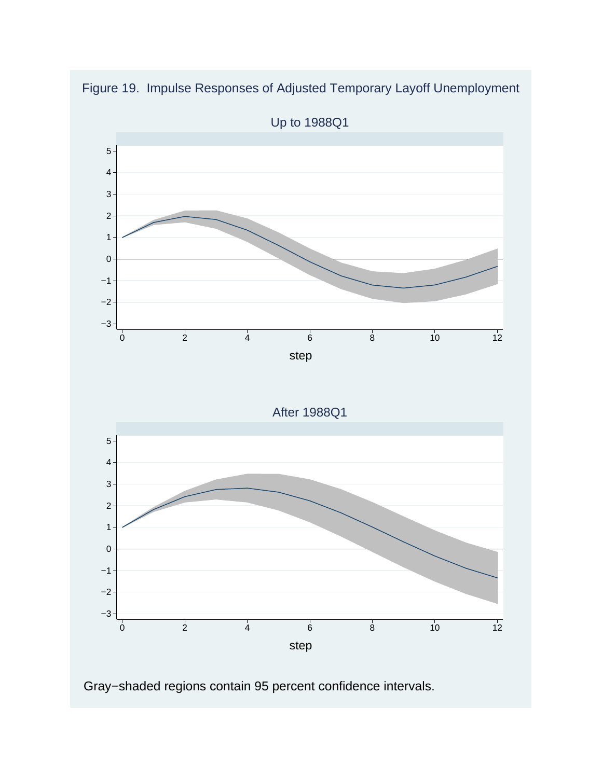

Figure 19. Impulse Responses of Adjusted Temporary Layoff Unemployment